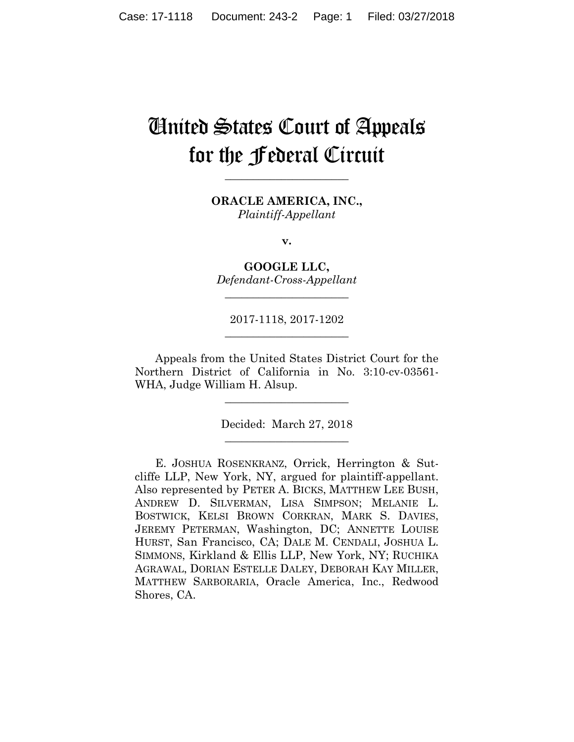# United States Court of Appeals for the Federal Circuit

**\_\_\_\_\_\_\_\_\_\_\_\_\_\_\_\_\_\_\_\_\_\_** 

**ORACLE AMERICA, INC.,** *Plaintiff-Appellant*

**v.**

**GOOGLE LLC,** *Defendant-Cross-Appellant*

**\_\_\_\_\_\_\_\_\_\_\_\_\_\_\_\_\_\_\_\_\_\_** 

2017-1118, 2017-1202 **\_\_\_\_\_\_\_\_\_\_\_\_\_\_\_\_\_\_\_\_\_\_** 

Appeals from the United States District Court for the Northern District of California in No. 3:10-cv-03561- WHA, Judge William H. Alsup.

> Decided: March 27, 2018 **\_\_\_\_\_\_\_\_\_\_\_\_\_\_\_\_\_\_\_\_\_\_**

**\_\_\_\_\_\_\_\_\_\_\_\_\_\_\_\_\_\_\_\_\_\_** 

E. JOSHUA ROSENKRANZ, Orrick, Herrington & Sutcliffe LLP, New York, NY, argued for plaintiff-appellant. Also represented by PETER A. BICKS, MATTHEW LEE BUSH, ANDREW D. SILVERMAN, LISA SIMPSON; MELANIE L. BOSTWICK, KELSI BROWN CORKRAN, MARK S. DAVIES, JEREMY PETERMAN, Washington, DC; ANNETTE LOUISE HURST, San Francisco, CA; DALE M. CENDALI, JOSHUA L. SIMMONS, Kirkland & Ellis LLP, New York, NY; RUCHIKA AGRAWAL, DORIAN ESTELLE DALEY, DEBORAH KAY MILLER, MATTHEW SARBORARIA, Oracle America, Inc., Redwood Shores, CA.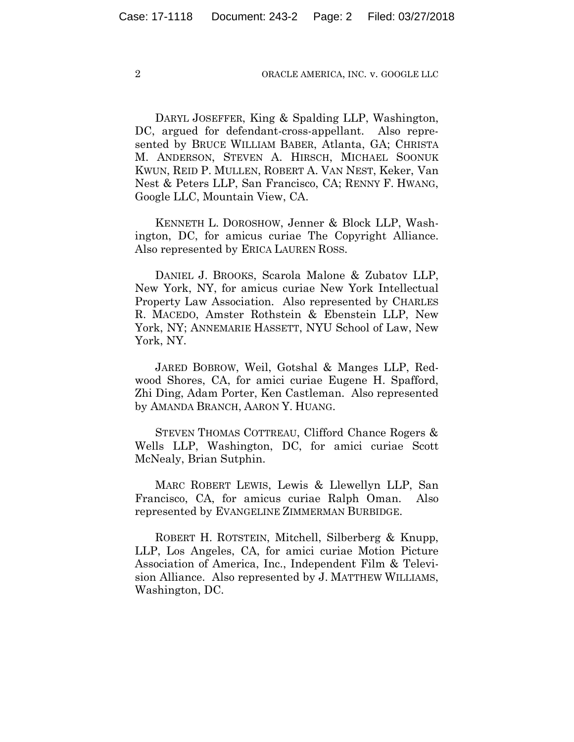DARYL JOSEFFER, King & Spalding LLP, Washington, DC, argued for defendant-cross-appellant. Also represented by BRUCE WILLIAM BABER, Atlanta, GA; CHRISTA M. ANDERSON, STEVEN A. HIRSCH, MICHAEL SOONUK KWUN, REID P. MULLEN, ROBERT A. VAN NEST, Keker, Van Nest & Peters LLP, San Francisco, CA; RENNY F. HWANG, Google LLC, Mountain View, CA.

 KENNETH L. DOROSHOW, Jenner & Block LLP, Washington, DC, for amicus curiae The Copyright Alliance. Also represented by ERICA LAUREN ROSS.

 DANIEL J. BROOKS, Scarola Malone & Zubatov LLP, New York, NY, for amicus curiae New York Intellectual Property Law Association. Also represented by CHARLES R. MACEDO, Amster Rothstein & Ebenstein LLP, New York, NY; ANNEMARIE HASSETT, NYU School of Law, New York, NY.

 JARED BOBROW, Weil, Gotshal & Manges LLP, Redwood Shores, CA, for amici curiae Eugene H. Spafford, Zhi Ding, Adam Porter, Ken Castleman. Also represented by AMANDA BRANCH, AARON Y. HUANG.

 STEVEN THOMAS COTTREAU, Clifford Chance Rogers & Wells LLP, Washington, DC, for amici curiae Scott McNealy, Brian Sutphin.

 MARC ROBERT LEWIS, Lewis & Llewellyn LLP, San Francisco, CA, for amicus curiae Ralph Oman. Also represented by EVANGELINE ZIMMERMAN BURBIDGE.

 ROBERT H. ROTSTEIN, Mitchell, Silberberg & Knupp, LLP, Los Angeles, CA, for amici curiae Motion Picture Association of America, Inc., Independent Film & Television Alliance. Also represented by J. MATTHEW WILLIAMS, Washington, DC.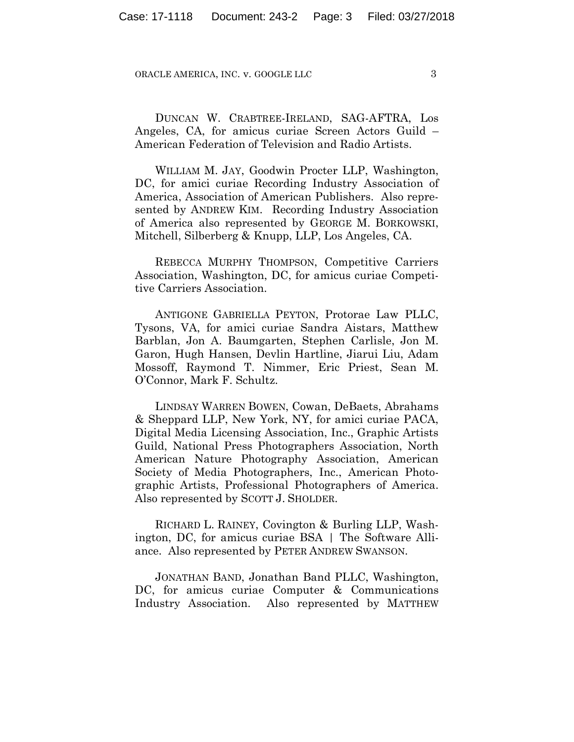DUNCAN W. CRABTREE-IRELAND, SAG-AFTRA, Los Angeles, CA, for amicus curiae Screen Actors Guild – American Federation of Television and Radio Artists.

 WILLIAM M. JAY, Goodwin Procter LLP, Washington, DC, for amici curiae Recording Industry Association of America, Association of American Publishers. Also represented by ANDREW KIM. Recording Industry Association of America also represented by GEORGE M. BORKOWSKI, Mitchell, Silberberg & Knupp, LLP, Los Angeles, CA.

 REBECCA MURPHY THOMPSON, Competitive Carriers Association, Washington, DC, for amicus curiae Competitive Carriers Association.

 ANTIGONE GABRIELLA PEYTON, Protorae Law PLLC, Tysons, VA, for amici curiae Sandra Aistars, Matthew Barblan, Jon A. Baumgarten, Stephen Carlisle, Jon M. Garon, Hugh Hansen, Devlin Hartline, Jiarui Liu, Adam Mossoff, Raymond T. Nimmer, Eric Priest, Sean M. O'Connor, Mark F. Schultz.

 LINDSAY WARREN BOWEN, Cowan, DeBaets, Abrahams & Sheppard LLP, New York, NY, for amici curiae PACA, Digital Media Licensing Association, Inc., Graphic Artists Guild, National Press Photographers Association, North American Nature Photography Association, American Society of Media Photographers, Inc., American Photographic Artists, Professional Photographers of America. Also represented by SCOTT J. SHOLDER.

 RICHARD L. RAINEY, Covington & Burling LLP, Washington, DC, for amicus curiae BSA | The Software Alliance. Also represented by PETER ANDREW SWANSON.

 JONATHAN BAND, Jonathan Band PLLC, Washington, DC, for amicus curiae Computer & Communications Industry Association. Also represented by MATTHEW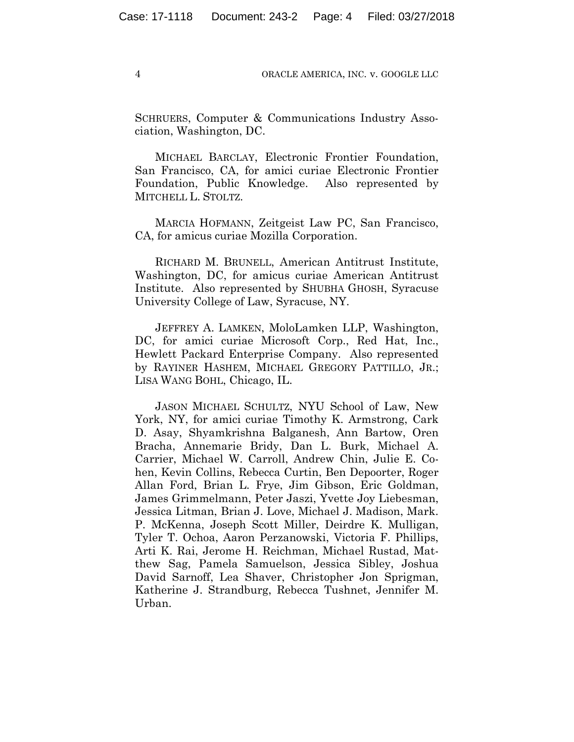SCHRUERS, Computer & Communications Industry Association, Washington, DC.

 MICHAEL BARCLAY, Electronic Frontier Foundation, San Francisco, CA, for amici curiae Electronic Frontier Foundation, Public Knowledge. Also represented by MITCHELL L. STOLTZ.

 MARCIA HOFMANN, Zeitgeist Law PC, San Francisco, CA, for amicus curiae Mozilla Corporation.

 RICHARD M. BRUNELL, American Antitrust Institute, Washington, DC, for amicus curiae American Antitrust Institute. Also represented by SHUBHA GHOSH, Syracuse University College of Law, Syracuse, NY.

 JEFFREY A. LAMKEN, MoloLamken LLP, Washington, DC, for amici curiae Microsoft Corp., Red Hat, Inc., Hewlett Packard Enterprise Company. Also represented by RAYINER HASHEM, MICHAEL GREGORY PATTILLO, JR.; LISA WANG BOHL, Chicago, IL.

 JASON MICHAEL SCHULTZ, NYU School of Law, New York, NY, for amici curiae Timothy K. Armstrong, Cark D. Asay, Shyamkrishna Balganesh, Ann Bartow, Oren Bracha, Annemarie Bridy, Dan L. Burk, Michael A. Carrier, Michael W. Carroll, Andrew Chin, Julie E. Cohen, Kevin Collins, Rebecca Curtin, Ben Depoorter, Roger Allan Ford, Brian L. Frye, Jim Gibson, Eric Goldman, James Grimmelmann, Peter Jaszi, Yvette Joy Liebesman, Jessica Litman, Brian J. Love, Michael J. Madison, Mark. P. McKenna, Joseph Scott Miller, Deirdre K. Mulligan, Tyler T. Ochoa, Aaron Perzanowski, Victoria F. Phillips, Arti K. Rai, Jerome H. Reichman, Michael Rustad, Matthew Sag, Pamela Samuelson, Jessica Sibley, Joshua David Sarnoff, Lea Shaver, Christopher Jon Sprigman, Katherine J. Strandburg, Rebecca Tushnet, Jennifer M. Urban.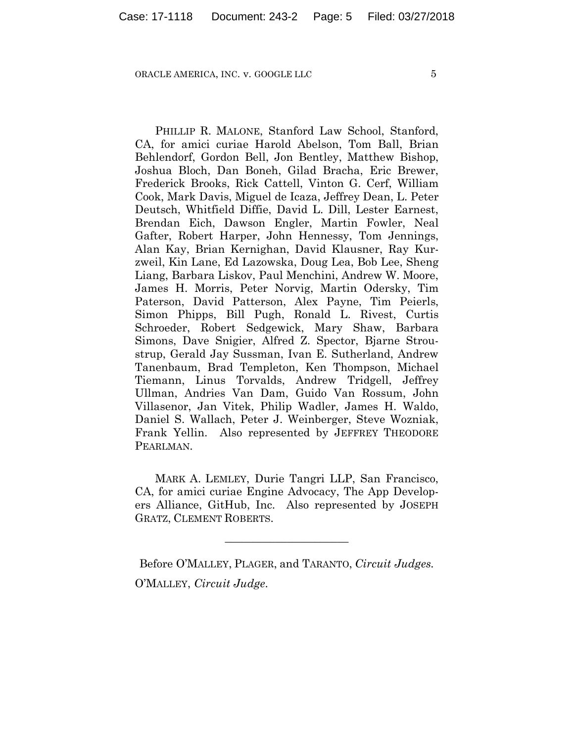PHILLIP R. MALONE, Stanford Law School, Stanford, CA, for amici curiae Harold Abelson, Tom Ball, Brian Behlendorf, Gordon Bell, Jon Bentley, Matthew Bishop, Joshua Bloch, Dan Boneh, Gilad Bracha, Eric Brewer, Frederick Brooks, Rick Cattell, Vinton G. Cerf, William Cook, Mark Davis, Miguel de Icaza, Jeffrey Dean, L. Peter Deutsch, Whitfield Diffie, David L. Dill, Lester Earnest, Brendan Eich, Dawson Engler, Martin Fowler, Neal Gafter, Robert Harper, John Hennessy, Tom Jennings, Alan Kay, Brian Kernighan, David Klausner, Ray Kurzweil, Kin Lane, Ed Lazowska, Doug Lea, Bob Lee, Sheng Liang, Barbara Liskov, Paul Menchini, Andrew W. Moore, James H. Morris, Peter Norvig, Martin Odersky, Tim Paterson, David Patterson, Alex Payne, Tim Peierls, Simon Phipps, Bill Pugh, Ronald L. Rivest, Curtis Schroeder, Robert Sedgewick, Mary Shaw, Barbara Simons, Dave Snigier, Alfred Z. Spector, Bjarne Stroustrup, Gerald Jay Sussman, Ivan E. Sutherland, Andrew Tanenbaum, Brad Templeton, Ken Thompson, Michael Tiemann, Linus Torvalds, Andrew Tridgell, Jeffrey Ullman, Andries Van Dam, Guido Van Rossum, John Villasenor, Jan Vitek, Philip Wadler, James H. Waldo, Daniel S. Wallach, Peter J. Weinberger, Steve Wozniak, Frank Yellin. Also represented by JEFFREY THEODORE PEARLMAN.

MARK A. LEMLEY, Durie Tangri LLP, San Francisco, CA, for amici curiae Engine Advocacy, The App Developers Alliance, GitHub, Inc. Also represented by JOSEPH GRATZ, CLEMENT ROBERTS.

**\_\_\_\_\_\_\_\_\_\_\_\_\_\_\_\_\_\_\_\_\_\_** 

Before O'MALLEY, PLAGER, and TARANTO, *Circuit Judges.* O'MALLEY, *Circuit Judge*.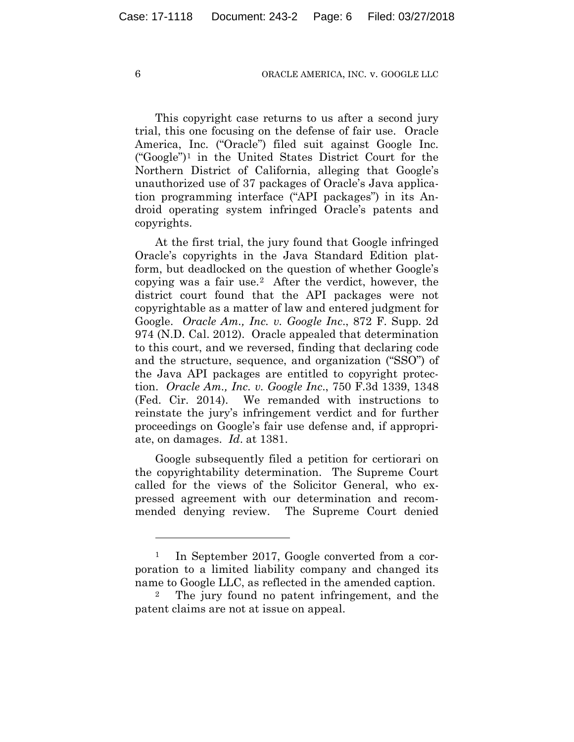This copyright case returns to us after a second jury trial, this one focusing on the defense of fair use. Oracle America, Inc. ("Oracle") filed suit against Google Inc. ("Google")1 in the United States District Court for the Northern District of California, alleging that Google's unauthorized use of 37 packages of Oracle's Java application programming interface ("API packages") in its Android operating system infringed Oracle's patents and copyrights.

At the first trial, the jury found that Google infringed Oracle's copyrights in the Java Standard Edition platform, but deadlocked on the question of whether Google's copying was a fair use.2 After the verdict, however, the district court found that the API packages were not copyrightable as a matter of law and entered judgment for Google. *Oracle Am., Inc. v. Google Inc*., 872 F. Supp. 2d 974 (N.D. Cal. 2012). Oracle appealed that determination to this court, and we reversed, finding that declaring code and the structure, sequence, and organization ("SSO") of the Java API packages are entitled to copyright protection. *Oracle Am., Inc. v. Google Inc*., 750 F.3d 1339, 1348 (Fed. Cir. 2014). We remanded with instructions to reinstate the jury's infringement verdict and for further proceedings on Google's fair use defense and, if appropriate, on damages. *Id*. at 1381.

Google subsequently filed a petition for certiorari on the copyrightability determination. The Supreme Court called for the views of the Solicitor General, who expressed agreement with our determination and recommended denying review. The Supreme Court denied

1

<sup>&</sup>lt;sup>1</sup> In September 2017, Google converted from a corporation to a limited liability company and changed its name to Google LLC, as reflected in the amended caption.

<sup>2</sup> The jury found no patent infringement, and the patent claims are not at issue on appeal.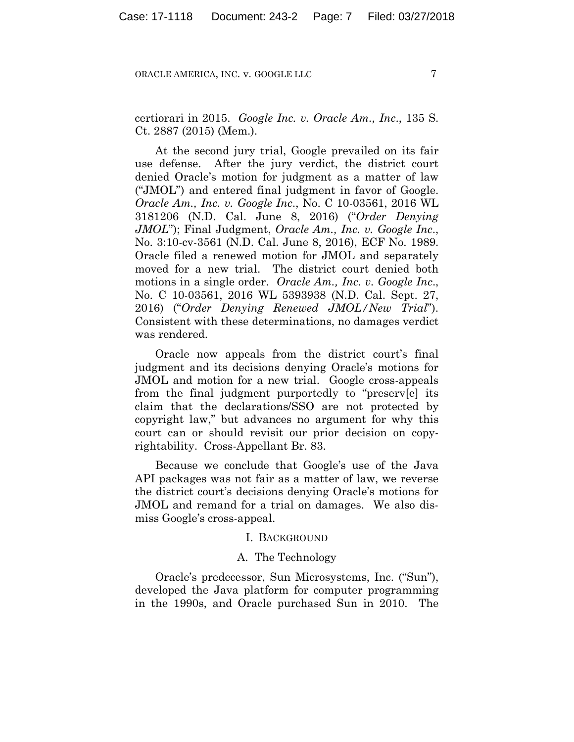certiorari in 2015. *Google Inc. v. Oracle Am., Inc*., 135 S. Ct. 2887 (2015) (Mem.).

At the second jury trial, Google prevailed on its fair use defense. After the jury verdict, the district court denied Oracle's motion for judgment as a matter of law ("JMOL") and entered final judgment in favor of Google. *Oracle Am., Inc. v. Google Inc*., No. C 10-03561, 2016 WL 3181206 (N.D. Cal. June 8, 2016) ("*Order Denying JMOL*"); Final Judgment, *Oracle Am., Inc. v. Google Inc*., No. 3:10-cv-3561 (N.D. Cal. June 8, 2016), ECF No. 1989. Oracle filed a renewed motion for JMOL and separately moved for a new trial. The district court denied both motions in a single order. *Oracle Am., Inc. v. Google Inc*., No. C 10-03561, 2016 WL 5393938 (N.D. Cal. Sept. 27, 2016) ("*Order Denying Renewed JMOL/New Trial*"). Consistent with these determinations, no damages verdict was rendered.

Oracle now appeals from the district court's final judgment and its decisions denying Oracle's motions for JMOL and motion for a new trial. Google cross-appeals from the final judgment purportedly to "preserv[e] its claim that the declarations/SSO are not protected by copyright law," but advances no argument for why this court can or should revisit our prior decision on copyrightability. Cross-Appellant Br. 83.

Because we conclude that Google's use of the Java API packages was not fair as a matter of law, we reverse the district court's decisions denying Oracle's motions for JMOL and remand for a trial on damages. We also dismiss Google's cross-appeal.

## I. BACKGROUND

## A. The Technology

Oracle's predecessor, Sun Microsystems, Inc. ("Sun"), developed the Java platform for computer programming in the 1990s, and Oracle purchased Sun in 2010. The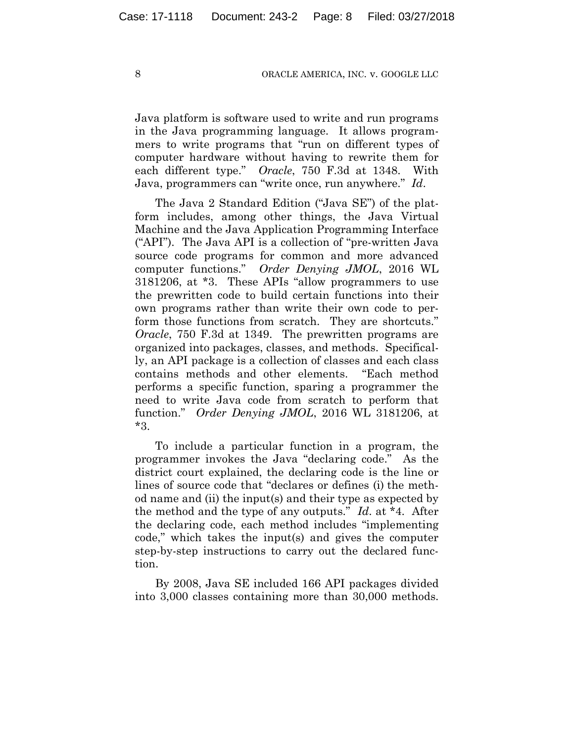Java platform is software used to write and run programs in the Java programming language. It allows programmers to write programs that "run on different types of computer hardware without having to rewrite them for each different type." *Oracle*, 750 F.3d at 1348. With Java, programmers can "write once, run anywhere." *Id*.

The Java 2 Standard Edition ("Java SE") of the platform includes, among other things, the Java Virtual Machine and the Java Application Programming Interface ("API"). The Java API is a collection of "pre-written Java source code programs for common and more advanced computer functions." *Order Denying JMOL*, 2016 WL 3181206, at \*3. These APIs "allow programmers to use the prewritten code to build certain functions into their own programs rather than write their own code to perform those functions from scratch. They are shortcuts." *Oracle*, 750 F.3d at 1349. The prewritten programs are organized into packages, classes, and methods. Specifically, an API package is a collection of classes and each class contains methods and other elements. "Each method performs a specific function, sparing a programmer the need to write Java code from scratch to perform that function." *Order Denying JMOL*, 2016 WL 3181206, at \*3.

To include a particular function in a program, the programmer invokes the Java "declaring code." As the district court explained, the declaring code is the line or lines of source code that "declares or defines (i) the method name and (ii) the input(s) and their type as expected by the method and the type of any outputs." *Id*. at \*4. After the declaring code, each method includes "implementing code," which takes the input(s) and gives the computer step-by-step instructions to carry out the declared function.

By 2008, Java SE included 166 API packages divided into 3,000 classes containing more than 30,000 methods.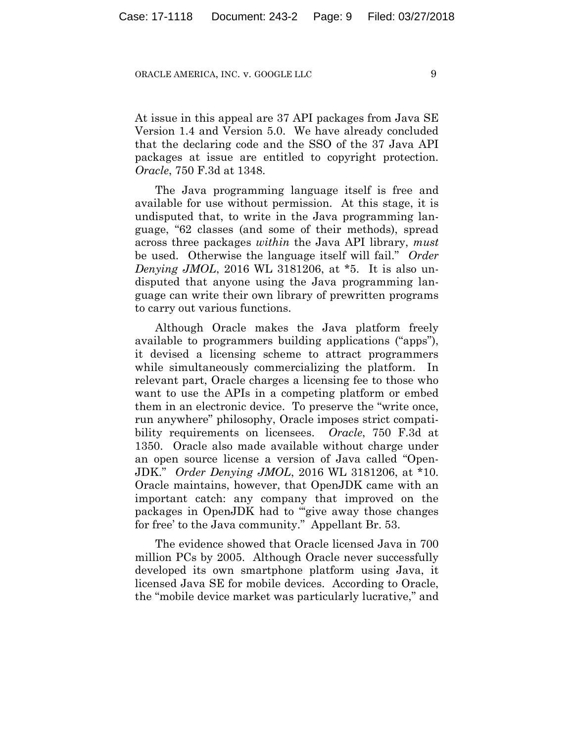At issue in this appeal are 37 API packages from Java SE Version 1.4 and Version 5.0. We have already concluded that the declaring code and the SSO of the 37 Java API packages at issue are entitled to copyright protection. *Oracle*, 750 F.3d at 1348.

The Java programming language itself is free and available for use without permission. At this stage, it is undisputed that, to write in the Java programming language, "62 classes (and some of their methods), spread across three packages *within* the Java API library, *must* be used. Otherwise the language itself will fail." *Order Denying JMOL*, 2016 WL 3181206, at \*5. It is also undisputed that anyone using the Java programming language can write their own library of prewritten programs to carry out various functions.

Although Oracle makes the Java platform freely available to programmers building applications ("apps"), it devised a licensing scheme to attract programmers while simultaneously commercializing the platform. In relevant part, Oracle charges a licensing fee to those who want to use the APIs in a competing platform or embed them in an electronic device. To preserve the "write once, run anywhere" philosophy, Oracle imposes strict compatibility requirements on licensees. *Oracle*, 750 F.3d at 1350. Oracle also made available without charge under an open source license a version of Java called "Open-JDK." *Order Denying JMOL*, 2016 WL 3181206, at \*10. Oracle maintains, however, that OpenJDK came with an important catch: any company that improved on the packages in OpenJDK had to "'give away those changes for free' to the Java community." Appellant Br. 53.

The evidence showed that Oracle licensed Java in 700 million PCs by 2005. Although Oracle never successfully developed its own smartphone platform using Java, it licensed Java SE for mobile devices. According to Oracle, the "mobile device market was particularly lucrative," and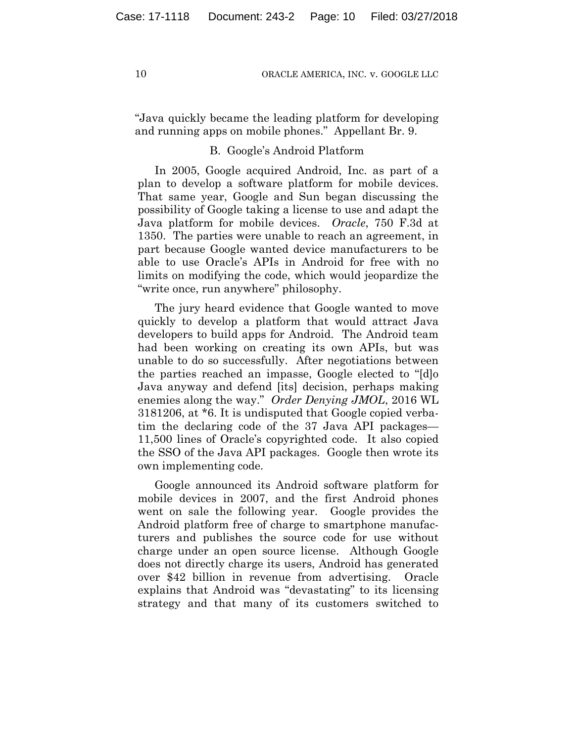"Java quickly became the leading platform for developing and running apps on mobile phones." Appellant Br. 9.

## B. Google's Android Platform

In 2005, Google acquired Android, Inc. as part of a plan to develop a software platform for mobile devices. That same year, Google and Sun began discussing the possibility of Google taking a license to use and adapt the Java platform for mobile devices. *Oracle*, 750 F.3d at 1350. The parties were unable to reach an agreement, in part because Google wanted device manufacturers to be able to use Oracle's APIs in Android for free with no limits on modifying the code, which would jeopardize the "write once, run anywhere" philosophy.

The jury heard evidence that Google wanted to move quickly to develop a platform that would attract Java developers to build apps for Android. The Android team had been working on creating its own APIs, but was unable to do so successfully. After negotiations between the parties reached an impasse, Google elected to "[d]o Java anyway and defend [its] decision, perhaps making enemies along the way." *Order Denying JMOL*, 2016 WL 3181206, at \*6. It is undisputed that Google copied verbatim the declaring code of the 37 Java API packages— 11,500 lines of Oracle's copyrighted code. It also copied the SSO of the Java API packages. Google then wrote its own implementing code.

Google announced its Android software platform for mobile devices in 2007, and the first Android phones went on sale the following year. Google provides the Android platform free of charge to smartphone manufacturers and publishes the source code for use without charge under an open source license. Although Google does not directly charge its users, Android has generated over \$42 billion in revenue from advertising. Oracle explains that Android was "devastating" to its licensing strategy and that many of its customers switched to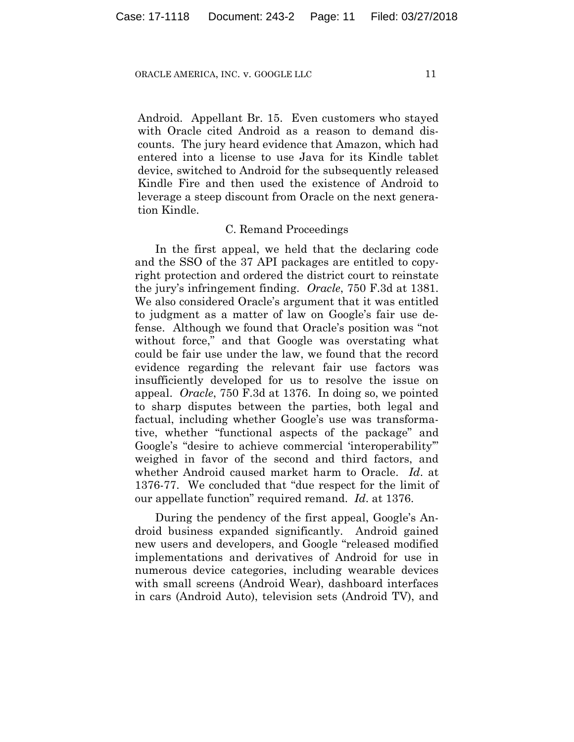Android. Appellant Br. 15. Even customers who stayed with Oracle cited Android as a reason to demand discounts. The jury heard evidence that Amazon, which had entered into a license to use Java for its Kindle tablet device, switched to Android for the subsequently released Kindle Fire and then used the existence of Android to leverage a steep discount from Oracle on the next generation Kindle.

## C. Remand Proceedings

In the first appeal, we held that the declaring code and the SSO of the 37 API packages are entitled to copyright protection and ordered the district court to reinstate the jury's infringement finding. *Oracle*, 750 F.3d at 1381. We also considered Oracle's argument that it was entitled to judgment as a matter of law on Google's fair use defense. Although we found that Oracle's position was "not without force," and that Google was overstating what could be fair use under the law, we found that the record evidence regarding the relevant fair use factors was insufficiently developed for us to resolve the issue on appeal. *Oracle*, 750 F.3d at 1376. In doing so, we pointed to sharp disputes between the parties, both legal and factual, including whether Google's use was transformative, whether "functional aspects of the package" and Google's "desire to achieve commercial 'interoperability'" weighed in favor of the second and third factors, and whether Android caused market harm to Oracle. *Id*. at 1376-77. We concluded that "due respect for the limit of our appellate function" required remand. *Id*. at 1376.

During the pendency of the first appeal, Google's Android business expanded significantly. Android gained new users and developers, and Google "released modified implementations and derivatives of Android for use in numerous device categories, including wearable devices with small screens (Android Wear), dashboard interfaces in cars (Android Auto), television sets (Android TV), and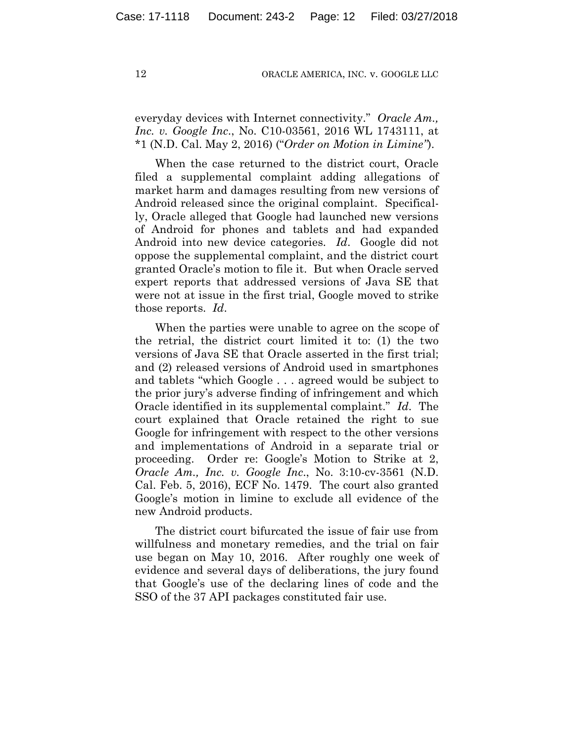everyday devices with Internet connectivity." *Oracle Am., Inc. v. Google Inc*., No. C10-03561, 2016 WL 1743111, at \*1 (N.D. Cal. May 2, 2016) ("*Order on Motion in Limine"*).

When the case returned to the district court, Oracle filed a supplemental complaint adding allegations of market harm and damages resulting from new versions of Android released since the original complaint. Specifically, Oracle alleged that Google had launched new versions of Android for phones and tablets and had expanded Android into new device categories. *Id*. Google did not oppose the supplemental complaint, and the district court granted Oracle's motion to file it. But when Oracle served expert reports that addressed versions of Java SE that were not at issue in the first trial, Google moved to strike those reports. *Id*.

When the parties were unable to agree on the scope of the retrial, the district court limited it to: (1) the two versions of Java SE that Oracle asserted in the first trial; and (2) released versions of Android used in smartphones and tablets "which Google . . . agreed would be subject to the prior jury's adverse finding of infringement and which Oracle identified in its supplemental complaint." *Id*. The court explained that Oracle retained the right to sue Google for infringement with respect to the other versions and implementations of Android in a separate trial or proceeding. Order re: Google's Motion to Strike at 2, *Oracle Am., Inc. v. Google Inc*., No. 3:10-cv-3561 (N.D. Cal. Feb. 5, 2016), ECF No. 1479. The court also granted Google's motion in limine to exclude all evidence of the new Android products.

The district court bifurcated the issue of fair use from willfulness and monetary remedies, and the trial on fair use began on May 10, 2016. After roughly one week of evidence and several days of deliberations, the jury found that Google's use of the declaring lines of code and the SSO of the 37 API packages constituted fair use.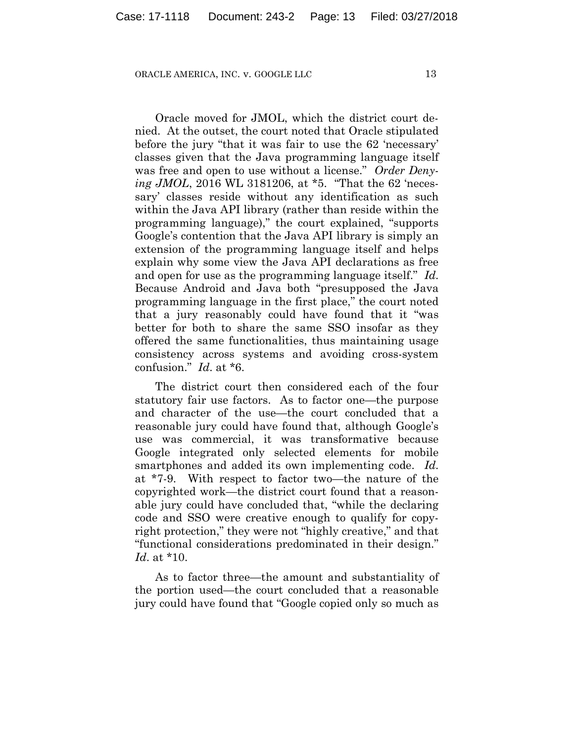Oracle moved for JMOL, which the district court denied. At the outset, the court noted that Oracle stipulated before the jury "that it was fair to use the 62 'necessary' classes given that the Java programming language itself was free and open to use without a license." *Order Denying JMOL*, 2016 WL 3181206, at \*5. "That the 62 'necessary' classes reside without any identification as such within the Java API library (rather than reside within the programming language)," the court explained, "supports Google's contention that the Java API library is simply an extension of the programming language itself and helps explain why some view the Java API declarations as free and open for use as the programming language itself." *Id*. Because Android and Java both "presupposed the Java programming language in the first place," the court noted that a jury reasonably could have found that it "was better for both to share the same SSO insofar as they offered the same functionalities, thus maintaining usage consistency across systems and avoiding cross-system confusion." *Id*. at \*6.

The district court then considered each of the four statutory fair use factors. As to factor one—the purpose and character of the use—the court concluded that a reasonable jury could have found that, although Google's use was commercial, it was transformative because Google integrated only selected elements for mobile smartphones and added its own implementing code. *Id*. at \*7-9. With respect to factor two—the nature of the copyrighted work—the district court found that a reasonable jury could have concluded that, "while the declaring code and SSO were creative enough to qualify for copyright protection," they were not "highly creative," and that "functional considerations predominated in their design." *Id*. at \*10.

As to factor three—the amount and substantiality of the portion used—the court concluded that a reasonable jury could have found that "Google copied only so much as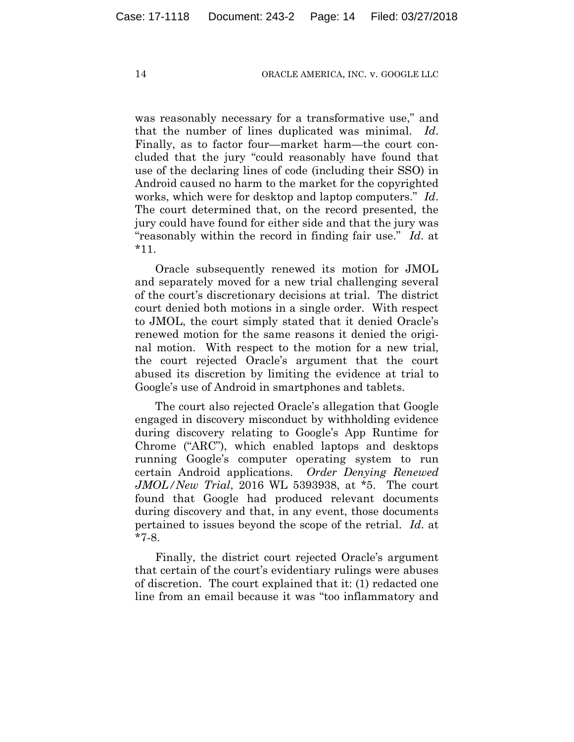was reasonably necessary for a transformative use," and that the number of lines duplicated was minimal. *Id*. Finally, as to factor four—market harm—the court concluded that the jury "could reasonably have found that use of the declaring lines of code (including their SSO) in Android caused no harm to the market for the copyrighted works, which were for desktop and laptop computers." *Id*. The court determined that, on the record presented, the jury could have found for either side and that the jury was "reasonably within the record in finding fair use." *Id*. at \*11.

Oracle subsequently renewed its motion for JMOL and separately moved for a new trial challenging several of the court's discretionary decisions at trial. The district court denied both motions in a single order. With respect to JMOL, the court simply stated that it denied Oracle's renewed motion for the same reasons it denied the original motion. With respect to the motion for a new trial, the court rejected Oracle's argument that the court abused its discretion by limiting the evidence at trial to Google's use of Android in smartphones and tablets.

The court also rejected Oracle's allegation that Google engaged in discovery misconduct by withholding evidence during discovery relating to Google's App Runtime for Chrome ("ARC"), which enabled laptops and desktops running Google's computer operating system to run certain Android applications. *Order Denying Renewed JMOL/New Trial*, 2016 WL 5393938, at \*5. The court found that Google had produced relevant documents during discovery and that, in any event, those documents pertained to issues beyond the scope of the retrial. *Id*. at \*7-8.

Finally, the district court rejected Oracle's argument that certain of the court's evidentiary rulings were abuses of discretion. The court explained that it: (1) redacted one line from an email because it was "too inflammatory and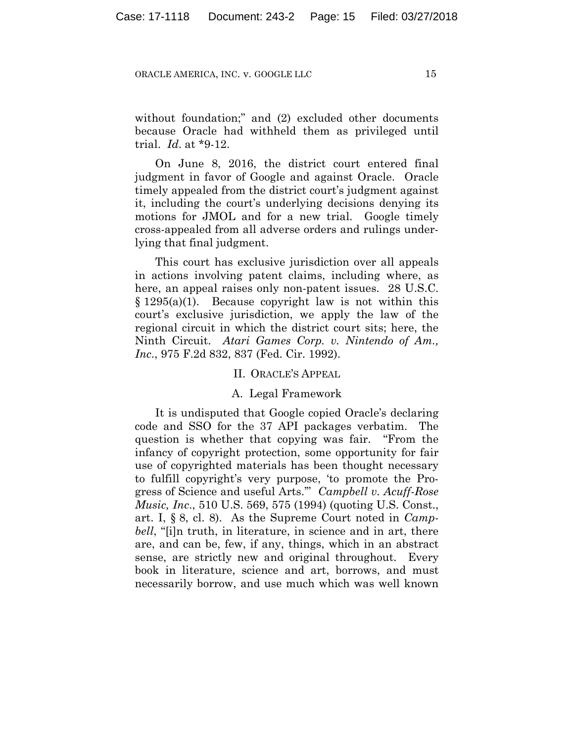without foundation;" and (2) excluded other documents because Oracle had withheld them as privileged until trial. *Id*. at \*9-12.

On June 8, 2016, the district court entered final judgment in favor of Google and against Oracle. Oracle timely appealed from the district court's judgment against it, including the court's underlying decisions denying its motions for JMOL and for a new trial. Google timely cross-appealed from all adverse orders and rulings underlying that final judgment.

This court has exclusive jurisdiction over all appeals in actions involving patent claims, including where, as here, an appeal raises only non-patent issues. 28 U.S.C. § 1295(a)(1). Because copyright law is not within this court's exclusive jurisdiction, we apply the law of the regional circuit in which the district court sits; here, the Ninth Circuit. *Atari Games Corp. v. Nintendo of Am., Inc*., 975 F.2d 832, 837 (Fed. Cir. 1992).

## II. ORACLE'S APPEAL

## A. Legal Framework

It is undisputed that Google copied Oracle's declaring code and SSO for the 37 API packages verbatim. The question is whether that copying was fair. "From the infancy of copyright protection, some opportunity for fair use of copyrighted materials has been thought necessary to fulfill copyright's very purpose, 'to promote the Progress of Science and useful Arts.'" *Campbell v. Acuff-Rose Music, Inc*., 510 U.S. 569, 575 (1994) (quoting U.S. Const., art. I, § 8, cl. 8). As the Supreme Court noted in *Campbell*, "[i]n truth, in literature, in science and in art, there are, and can be, few, if any, things, which in an abstract sense, are strictly new and original throughout. Every book in literature, science and art, borrows, and must necessarily borrow, and use much which was well known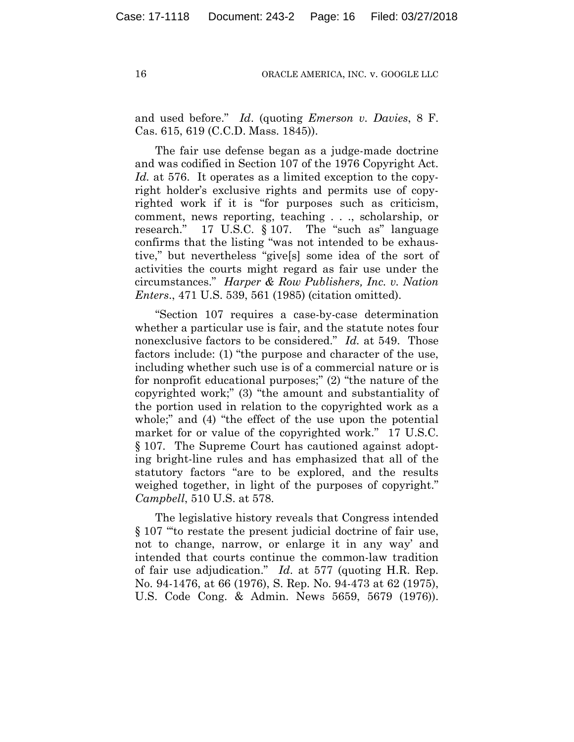and used before." *Id*. (quoting *Emerson v. Davies*, 8 F. Cas. 615, 619 (C.C.D. Mass. 1845)).

The fair use defense began as a judge-made doctrine and was codified in Section 107 of the 1976 Copyright Act. *Id.* at 576. It operates as a limited exception to the copyright holder's exclusive rights and permits use of copyrighted work if it is "for purposes such as criticism, comment, news reporting, teaching . . ., scholarship, or research." 17 U.S.C. § 107. The "such as" language confirms that the listing "was not intended to be exhaustive," but nevertheless "give[s] some idea of the sort of activities the courts might regard as fair use under the circumstances." *Harper & Row Publishers, Inc. v. Nation Enters*., 471 U.S. 539, 561 (1985) (citation omitted).

"Section 107 requires a case-by-case determination whether a particular use is fair, and the statute notes four nonexclusive factors to be considered." *Id.* at 549. Those factors include: (1) "the purpose and character of the use, including whether such use is of a commercial nature or is for nonprofit educational purposes;" (2) "the nature of the copyrighted work;" (3) "the amount and substantiality of the portion used in relation to the copyrighted work as a whole;" and (4) "the effect of the use upon the potential market for or value of the copyrighted work." 17 U.S.C. § 107. The Supreme Court has cautioned against adopting bright-line rules and has emphasized that all of the statutory factors "are to be explored, and the results weighed together, in light of the purposes of copyright." *Campbell*, 510 U.S. at 578.

The legislative history reveals that Congress intended § 107 "'to restate the present judicial doctrine of fair use, not to change, narrow, or enlarge it in any way' and intended that courts continue the common-law tradition of fair use adjudication." *Id*. at 577 (quoting H.R. Rep. No. 94-1476, at 66 (1976), S. Rep. No. 94-473 at 62 (1975), U.S. Code Cong. & Admin. News 5659, 5679 (1976)).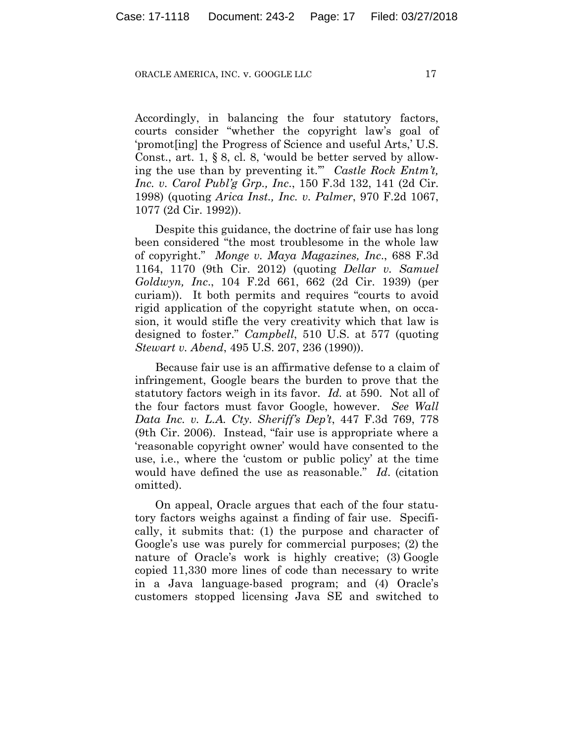Accordingly, in balancing the four statutory factors, courts consider "whether the copyright law's goal of 'promot[ing] the Progress of Science and useful Arts,' U.S. Const., art. 1, § 8, cl. 8, 'would be better served by allowing the use than by preventing it.'" *Castle Rock Entm't, Inc. v. Carol Publ'g Grp., Inc*., 150 F.3d 132, 141 (2d Cir. 1998) (quoting *Arica Inst., Inc. v. Palmer*, 970 F.2d 1067, 1077 (2d Cir. 1992)).

Despite this guidance, the doctrine of fair use has long been considered "the most troublesome in the whole law of copyright." *Monge v. Maya Magazines, Inc*., 688 F.3d 1164, 1170 (9th Cir. 2012) (quoting *Dellar v. Samuel Goldwyn, Inc*., 104 F.2d 661, 662 (2d Cir. 1939) (per curiam)). It both permits and requires "courts to avoid rigid application of the copyright statute when, on occasion, it would stifle the very creativity which that law is designed to foster." *Campbell*, 510 U.S. at 577 (quoting *Stewart v. Abend*, 495 U.S. 207, 236 (1990)).

Because fair use is an affirmative defense to a claim of infringement, Google bears the burden to prove that the statutory factors weigh in its favor. *Id.* at 590. Not all of the four factors must favor Google, however. *See Wall Data Inc. v. L.A. Cty. Sheriff's Dep't*, 447 F.3d 769, 778 (9th Cir. 2006). Instead, "fair use is appropriate where a 'reasonable copyright owner' would have consented to the use, i.e., where the 'custom or public policy' at the time would have defined the use as reasonable." *Id*. (citation omitted).

On appeal, Oracle argues that each of the four statutory factors weighs against a finding of fair use. Specifically, it submits that: (1) the purpose and character of Google's use was purely for commercial purposes; (2) the nature of Oracle's work is highly creative; (3) Google copied 11,330 more lines of code than necessary to write in a Java language-based program; and (4) Oracle's customers stopped licensing Java SE and switched to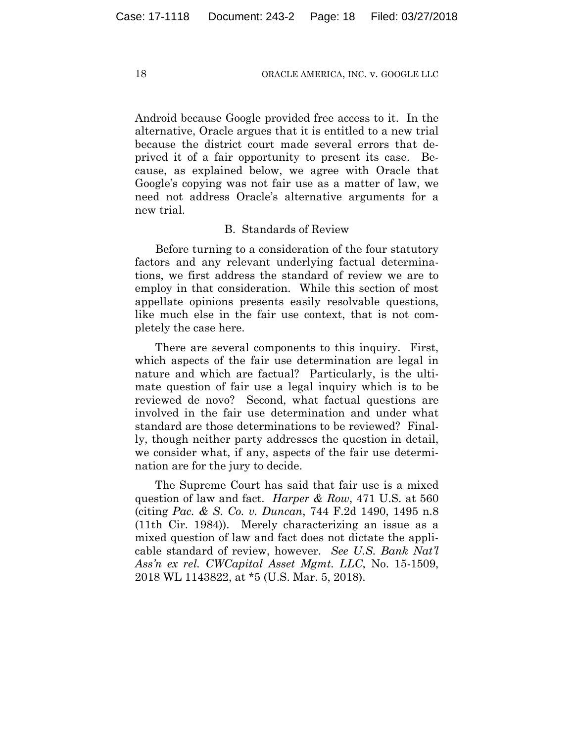Android because Google provided free access to it. In the alternative, Oracle argues that it is entitled to a new trial because the district court made several errors that deprived it of a fair opportunity to present its case. Because, as explained below, we agree with Oracle that Google's copying was not fair use as a matter of law, we need not address Oracle's alternative arguments for a new trial.

## B. Standards of Review

Before turning to a consideration of the four statutory factors and any relevant underlying factual determinations, we first address the standard of review we are to employ in that consideration. While this section of most appellate opinions presents easily resolvable questions, like much else in the fair use context, that is not completely the case here.

There are several components to this inquiry. First, which aspects of the fair use determination are legal in nature and which are factual? Particularly, is the ultimate question of fair use a legal inquiry which is to be reviewed de novo? Second, what factual questions are involved in the fair use determination and under what standard are those determinations to be reviewed? Finally, though neither party addresses the question in detail, we consider what, if any, aspects of the fair use determination are for the jury to decide.

The Supreme Court has said that fair use is a mixed question of law and fact. *Harper & Row*, 471 U.S. at 560 (citing *Pac. & S. Co. v. Duncan*, 744 F.2d 1490, 1495 n.8 (11th Cir. 1984)). Merely characterizing an issue as a mixed question of law and fact does not dictate the applicable standard of review, however. *See U.S. Bank Nat'l Ass'n ex rel. CWCapital Asset Mgmt. LLC*, No. 15-1509, 2018 WL 1143822, at \*5 (U.S. Mar. 5, 2018).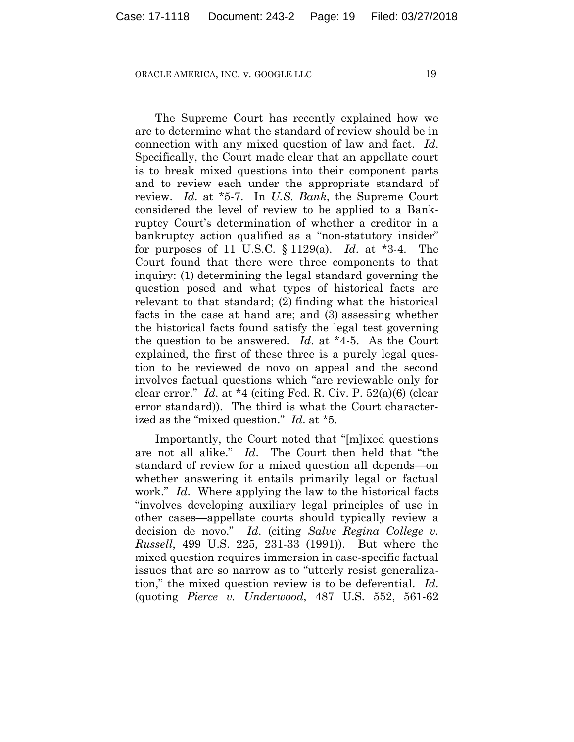The Supreme Court has recently explained how we are to determine what the standard of review should be in connection with any mixed question of law and fact. *Id*. Specifically, the Court made clear that an appellate court is to break mixed questions into their component parts and to review each under the appropriate standard of review. *Id*. at \*5-7. In *U.S. Bank*, the Supreme Court considered the level of review to be applied to a Bankruptcy Court's determination of whether a creditor in a bankruptcy action qualified as a "non-statutory insider" for purposes of 11 U.S.C. § 1129(a). *Id*. at \*3-4. The Court found that there were three components to that inquiry: (1) determining the legal standard governing the question posed and what types of historical facts are relevant to that standard; (2) finding what the historical facts in the case at hand are; and (3) assessing whether the historical facts found satisfy the legal test governing the question to be answered. *Id*. at \*4-5. As the Court explained, the first of these three is a purely legal question to be reviewed de novo on appeal and the second involves factual questions which "are reviewable only for clear error." *Id*. at \*4 (citing Fed. R. Civ. P. 52(a)(6) (clear error standard)). The third is what the Court characterized as the "mixed question." *Id*. at \*5.

Importantly, the Court noted that "[m]ixed questions are not all alike." *Id*. The Court then held that "the standard of review for a mixed question all depends—on whether answering it entails primarily legal or factual work." *Id*. Where applying the law to the historical facts "involves developing auxiliary legal principles of use in other cases—appellate courts should typically review a decision de novo." *Id*. (citing *Salve Regina College v. Russell*, 499 U.S. 225, 231-33 (1991)). But where the mixed question requires immersion in case-specific factual issues that are so narrow as to "utterly resist generalization," the mixed question review is to be deferential. *Id*. (quoting *Pierce v. Underwood*, 487 U.S. 552, 561-62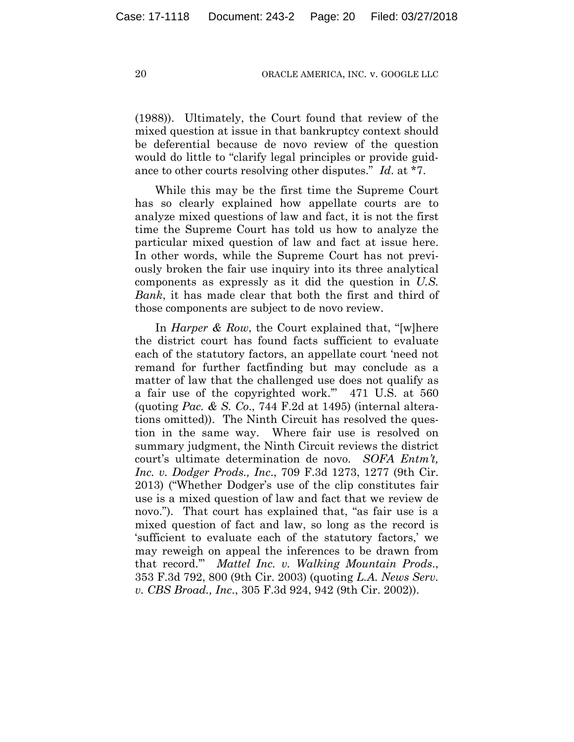(1988)). Ultimately, the Court found that review of the mixed question at issue in that bankruptcy context should be deferential because de novo review of the question would do little to "clarify legal principles or provide guidance to other courts resolving other disputes." *Id*. at \*7.

While this may be the first time the Supreme Court has so clearly explained how appellate courts are to analyze mixed questions of law and fact, it is not the first time the Supreme Court has told us how to analyze the particular mixed question of law and fact at issue here. In other words, while the Supreme Court has not previously broken the fair use inquiry into its three analytical components as expressly as it did the question in *U.S. Bank*, it has made clear that both the first and third of those components are subject to de novo review.

In *Harper & Row*, the Court explained that, "[w]here the district court has found facts sufficient to evaluate each of the statutory factors, an appellate court 'need not remand for further factfinding but may conclude as a matter of law that the challenged use does not qualify as a fair use of the copyrighted work.'" 471 U.S. at 560 (quoting *Pac. & S. Co*., 744 F.2d at 1495) (internal alterations omitted)). The Ninth Circuit has resolved the question in the same way. Where fair use is resolved on summary judgment, the Ninth Circuit reviews the district court's ultimate determination de novo. *SOFA Entm't, Inc. v. Dodger Prods., Inc*., 709 F.3d 1273, 1277 (9th Cir. 2013) ("Whether Dodger's use of the clip constitutes fair use is a mixed question of law and fact that we review de novo."). That court has explained that, "as fair use is a mixed question of fact and law, so long as the record is 'sufficient to evaluate each of the statutory factors,' we may reweigh on appeal the inferences to be drawn from that record.'" *Mattel Inc. v. Walking Mountain Prods*., 353 F.3d 792, 800 (9th Cir. 2003) (quoting *L.A. News Serv. v. CBS Broad., Inc*., 305 F.3d 924, 942 (9th Cir. 2002)).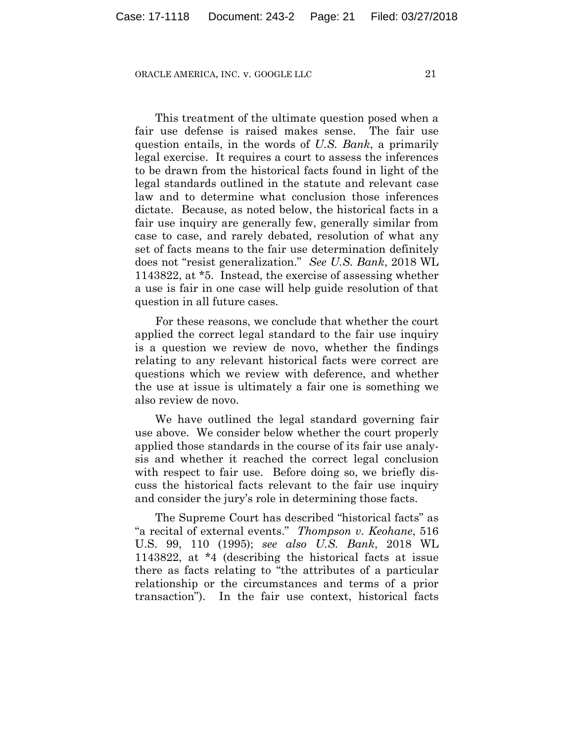This treatment of the ultimate question posed when a fair use defense is raised makes sense. The fair use question entails, in the words of *U.S. Bank*, a primarily legal exercise. It requires a court to assess the inferences to be drawn from the historical facts found in light of the legal standards outlined in the statute and relevant case law and to determine what conclusion those inferences dictate. Because, as noted below, the historical facts in a fair use inquiry are generally few, generally similar from case to case, and rarely debated, resolution of what any set of facts means to the fair use determination definitely does not "resist generalization." *See U.S. Bank*, 2018 WL 1143822, at \*5. Instead, the exercise of assessing whether a use is fair in one case will help guide resolution of that question in all future cases.

For these reasons, we conclude that whether the court applied the correct legal standard to the fair use inquiry is a question we review de novo, whether the findings relating to any relevant historical facts were correct are questions which we review with deference, and whether the use at issue is ultimately a fair one is something we also review de novo.

We have outlined the legal standard governing fair use above. We consider below whether the court properly applied those standards in the course of its fair use analysis and whether it reached the correct legal conclusion with respect to fair use. Before doing so, we briefly discuss the historical facts relevant to the fair use inquiry and consider the jury's role in determining those facts.

The Supreme Court has described "historical facts" as "a recital of external events." *Thompson v. Keohane*, 516 U.S. 99, 110 (1995); *see also U.S. Bank*, 2018 WL 1143822, at \*4 (describing the historical facts at issue there as facts relating to "the attributes of a particular relationship or the circumstances and terms of a prior transaction"). In the fair use context, historical facts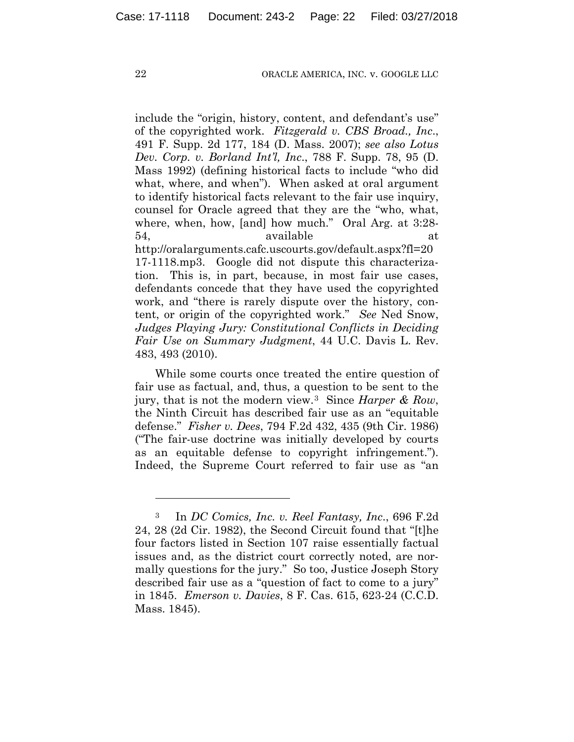include the "origin, history, content, and defendant's use" of the copyrighted work. *Fitzgerald v. CBS Broad., Inc*., 491 F. Supp. 2d 177, 184 (D. Mass. 2007); *see also Lotus Dev. Corp. v. Borland Int'l, Inc*., 788 F. Supp. 78, 95 (D. Mass 1992) (defining historical facts to include "who did what, where, and when"). When asked at oral argument to identify historical facts relevant to the fair use inquiry, counsel for Oracle agreed that they are the "who, what, where, when, how, [and] how much." Oral Arg. at 3:28- 54, available at http://oralarguments.cafc.uscourts.gov/default.aspx?fl=20 17-1118.mp3. Google did not dispute this characterization. This is, in part, because, in most fair use cases, defendants concede that they have used the copyrighted work, and "there is rarely dispute over the history, content, or origin of the copyrighted work." *See* Ned Snow, *Judges Playing Jury: Constitutional Conflicts in Deciding Fair Use on Summary Judgment*, 44 U.C. Davis L. Rev. 483, 493 (2010).

While some courts once treated the entire question of fair use as factual, and, thus, a question to be sent to the jury, that is not the modern view.3 Since *Harper & Row*, the Ninth Circuit has described fair use as an "equitable defense." *Fisher v. Dees*, 794 F.2d 432, 435 (9th Cir. 1986) ("The fair-use doctrine was initially developed by courts as an equitable defense to copyright infringement."). Indeed, the Supreme Court referred to fair use as "an

1

<sup>3</sup> In *DC Comics, Inc. v. Reel Fantasy, Inc*., 696 F.2d 24, 28 (2d Cir. 1982), the Second Circuit found that "[t]he four factors listed in Section 107 raise essentially factual issues and, as the district court correctly noted, are normally questions for the jury." So too, Justice Joseph Story described fair use as a "question of fact to come to a jury" in 1845. *Emerson v. Davies*, 8 F. Cas. 615, 623-24 (C.C.D. Mass. 1845).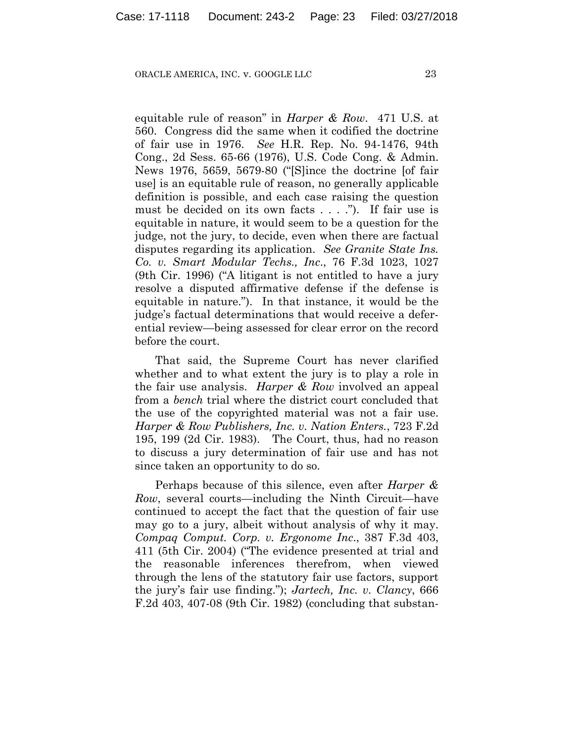equitable rule of reason" in *Harper & Row*. 471 U.S. at 560. Congress did the same when it codified the doctrine of fair use in 1976. *See* H.R. Rep. No. 94-1476, 94th Cong., 2d Sess. 65-66 (1976), U.S. Code Cong. & Admin. News 1976, 5659, 5679-80 ("[S]ince the doctrine [of fair use] is an equitable rule of reason, no generally applicable definition is possible, and each case raising the question must be decided on its own facts . . . ."). If fair use is equitable in nature, it would seem to be a question for the judge, not the jury, to decide, even when there are factual disputes regarding its application. *See Granite State Ins. Co. v. Smart Modular Techs., Inc*., 76 F.3d 1023, 1027 (9th Cir. 1996) ("A litigant is not entitled to have a jury resolve a disputed affirmative defense if the defense is equitable in nature."). In that instance, it would be the judge's factual determinations that would receive a deferential review—being assessed for clear error on the record before the court.

That said, the Supreme Court has never clarified whether and to what extent the jury is to play a role in the fair use analysis. *Harper & Row* involved an appeal from a *bench* trial where the district court concluded that the use of the copyrighted material was not a fair use. *Harper & Row Publishers, Inc. v. Nation Enters.*, 723 F.2d 195, 199 (2d Cir. 1983). The Court, thus, had no reason to discuss a jury determination of fair use and has not since taken an opportunity to do so.

Perhaps because of this silence, even after *Harper & Row*, several courts—including the Ninth Circuit—have continued to accept the fact that the question of fair use may go to a jury, albeit without analysis of why it may. *Compaq Comput. Corp. v. Ergonome Inc*., 387 F.3d 403, 411 (5th Cir. 2004) ("The evidence presented at trial and the reasonable inferences therefrom, when viewed through the lens of the statutory fair use factors, support the jury's fair use finding."); *Jartech, Inc. v. Clancy*, 666 F.2d 403, 407-08 (9th Cir. 1982) (concluding that substan-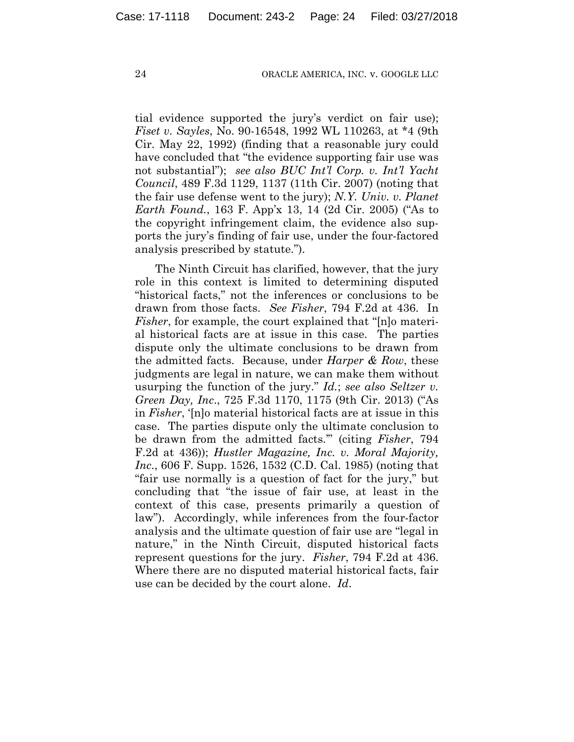tial evidence supported the jury's verdict on fair use); *Fiset v. Sayles*, No. 90-16548, 1992 WL 110263, at \*4 (9th Cir. May 22, 1992) (finding that a reasonable jury could have concluded that "the evidence supporting fair use was not substantial"); *see also BUC Int'l Corp. v. Int'l Yacht Council*, 489 F.3d 1129, 1137 (11th Cir. 2007) (noting that the fair use defense went to the jury); *N.Y. Univ. v. Planet Earth Found.*, 163 F. App'x 13, 14 (2d Cir. 2005) ("As to the copyright infringement claim, the evidence also supports the jury's finding of fair use, under the four-factored analysis prescribed by statute.").

The Ninth Circuit has clarified, however, that the jury role in this context is limited to determining disputed "historical facts," not the inferences or conclusions to be drawn from those facts. *See Fisher*, 794 F.2d at 436. In *Fisher*, for example, the court explained that "[n]o material historical facts are at issue in this case. The parties dispute only the ultimate conclusions to be drawn from the admitted facts. Because, under *Harper & Row*, these judgments are legal in nature, we can make them without usurping the function of the jury." *Id.*; *see also Seltzer v. Green Day, Inc*., 725 F.3d 1170, 1175 (9th Cir. 2013) ("As in *Fisher*, '[n]o material historical facts are at issue in this case. The parties dispute only the ultimate conclusion to be drawn from the admitted facts.'" (citing *Fisher*, 794 F.2d at 436)); *Hustler Magazine, Inc. v. Moral Majority, Inc*., 606 F. Supp. 1526, 1532 (C.D. Cal. 1985) (noting that "fair use normally is a question of fact for the jury," but concluding that "the issue of fair use, at least in the context of this case, presents primarily a question of law"). Accordingly, while inferences from the four-factor analysis and the ultimate question of fair use are "legal in nature," in the Ninth Circuit, disputed historical facts represent questions for the jury. *Fisher*, 794 F.2d at 436. Where there are no disputed material historical facts, fair use can be decided by the court alone. *Id*.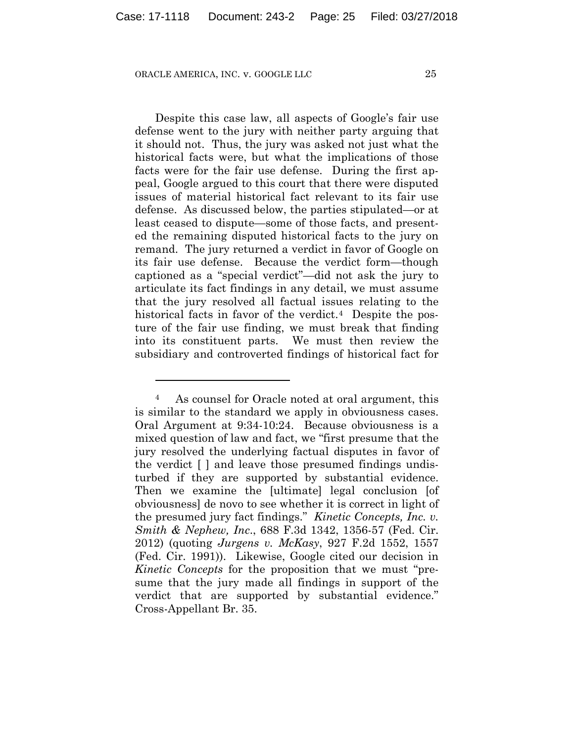1

Despite this case law, all aspects of Google's fair use defense went to the jury with neither party arguing that it should not. Thus, the jury was asked not just what the historical facts were, but what the implications of those facts were for the fair use defense. During the first appeal, Google argued to this court that there were disputed issues of material historical fact relevant to its fair use defense. As discussed below, the parties stipulated—or at least ceased to dispute—some of those facts, and presented the remaining disputed historical facts to the jury on remand. The jury returned a verdict in favor of Google on its fair use defense. Because the verdict form—though captioned as a "special verdict"—did not ask the jury to articulate its fact findings in any detail, we must assume that the jury resolved all factual issues relating to the historical facts in favor of the verdict.<sup>4</sup> Despite the posture of the fair use finding, we must break that finding into its constituent parts. We must then review the subsidiary and controverted findings of historical fact for

<sup>4</sup> As counsel for Oracle noted at oral argument, this is similar to the standard we apply in obviousness cases. Oral Argument at 9:34-10:24. Because obviousness is a mixed question of law and fact, we "first presume that the jury resolved the underlying factual disputes in favor of the verdict [ ] and leave those presumed findings undisturbed if they are supported by substantial evidence. Then we examine the [ultimate] legal conclusion [of obviousness] de novo to see whether it is correct in light of the presumed jury fact findings." *Kinetic Concepts, Inc. v. Smith & Nephew, Inc*., 688 F.3d 1342, 1356-57 (Fed. Cir. 2012) (quoting *Jurgens v. McKasy*, 927 F.2d 1552, 1557 (Fed. Cir. 1991)). Likewise, Google cited our decision in *Kinetic Concepts* for the proposition that we must "presume that the jury made all findings in support of the verdict that are supported by substantial evidence." Cross-Appellant Br. 35.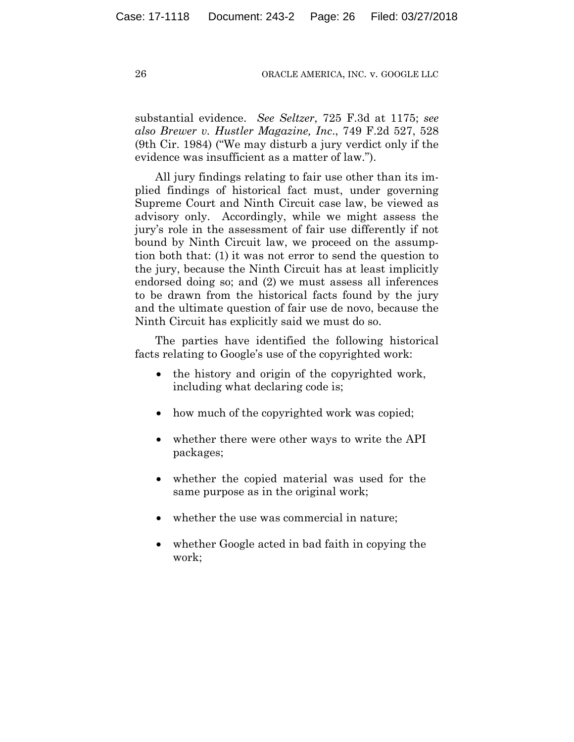substantial evidence. *See Seltzer*, 725 F.3d at 1175; *see also Brewer v. Hustler Magazine, Inc*., 749 F.2d 527, 528 (9th Cir. 1984) ("We may disturb a jury verdict only if the evidence was insufficient as a matter of law.").

All jury findings relating to fair use other than its implied findings of historical fact must, under governing Supreme Court and Ninth Circuit case law, be viewed as advisory only. Accordingly, while we might assess the jury's role in the assessment of fair use differently if not bound by Ninth Circuit law, we proceed on the assumption both that: (1) it was not error to send the question to the jury, because the Ninth Circuit has at least implicitly endorsed doing so; and (2) we must assess all inferences to be drawn from the historical facts found by the jury and the ultimate question of fair use de novo, because the Ninth Circuit has explicitly said we must do so.

The parties have identified the following historical facts relating to Google's use of the copyrighted work:

- the history and origin of the copyrighted work, including what declaring code is;
- how much of the copyrighted work was copied;
- whether there were other ways to write the API packages;
- whether the copied material was used for the same purpose as in the original work;
- whether the use was commercial in nature;
- whether Google acted in bad faith in copying the work;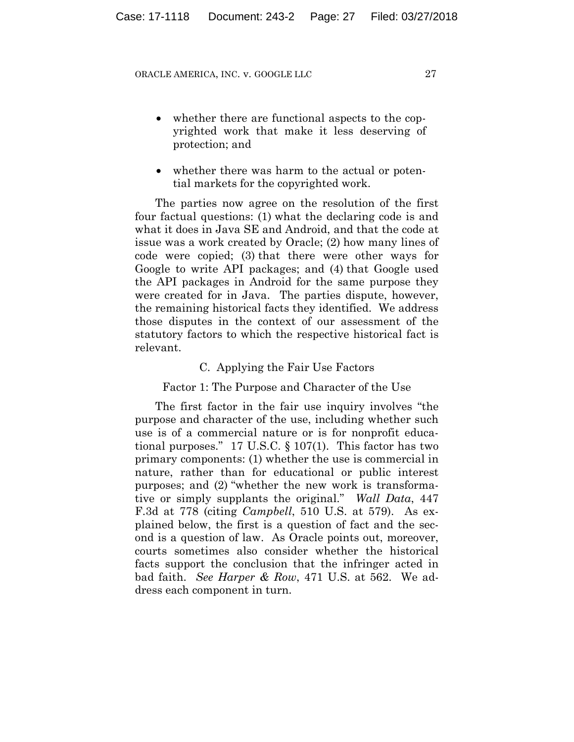- whether there are functional aspects to the copyrighted work that make it less deserving of protection; and
- whether there was harm to the actual or potential markets for the copyrighted work.

The parties now agree on the resolution of the first four factual questions: (1) what the declaring code is and what it does in Java SE and Android, and that the code at issue was a work created by Oracle; (2) how many lines of code were copied; (3) that there were other ways for Google to write API packages; and (4) that Google used the API packages in Android for the same purpose they were created for in Java. The parties dispute, however, the remaining historical facts they identified. We address those disputes in the context of our assessment of the statutory factors to which the respective historical fact is relevant.

## C. Applying the Fair Use Factors

## Factor 1: The Purpose and Character of the Use

The first factor in the fair use inquiry involves "the purpose and character of the use, including whether such use is of a commercial nature or is for nonprofit educational purposes." 17 U.S.C. § 107(1). This factor has two primary components: (1) whether the use is commercial in nature, rather than for educational or public interest purposes; and (2) "whether the new work is transformative or simply supplants the original." *Wall Data*, 447 F.3d at 778 (citing *Campbell*, 510 U.S. at 579). As explained below, the first is a question of fact and the second is a question of law. As Oracle points out, moreover, courts sometimes also consider whether the historical facts support the conclusion that the infringer acted in bad faith. *See Harper & Row*, 471 U.S. at 562. We address each component in turn.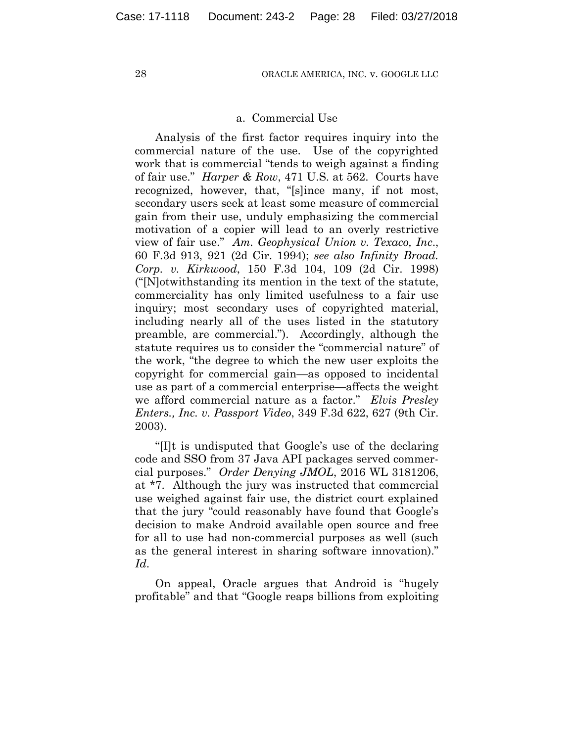## a. Commercial Use

Analysis of the first factor requires inquiry into the commercial nature of the use. Use of the copyrighted work that is commercial "tends to weigh against a finding of fair use." *Harper & Row*, 471 U.S. at 562. Courts have recognized, however, that, "[s]ince many, if not most, secondary users seek at least some measure of commercial gain from their use, unduly emphasizing the commercial motivation of a copier will lead to an overly restrictive view of fair use." *Am. Geophysical Union v. Texaco, Inc*., 60 F.3d 913, 921 (2d Cir. 1994); *see also Infinity Broad. Corp. v. Kirkwood*, 150 F.3d 104, 109 (2d Cir. 1998) ("[N]otwithstanding its mention in the text of the statute, commerciality has only limited usefulness to a fair use inquiry; most secondary uses of copyrighted material, including nearly all of the uses listed in the statutory preamble, are commercial."). Accordingly, although the statute requires us to consider the "commercial nature" of the work, "the degree to which the new user exploits the copyright for commercial gain—as opposed to incidental use as part of a commercial enterprise—affects the weight we afford commercial nature as a factor." *Elvis Presley Enters., Inc. v. Passport Video*, 349 F.3d 622, 627 (9th Cir. 2003).

"[I]t is undisputed that Google's use of the declaring code and SSO from 37 Java API packages served commercial purposes." *Order Denying JMOL*, 2016 WL 3181206, at \*7. Although the jury was instructed that commercial use weighed against fair use, the district court explained that the jury "could reasonably have found that Google's decision to make Android available open source and free for all to use had non-commercial purposes as well (such as the general interest in sharing software innovation)." *Id*.

On appeal, Oracle argues that Android is "hugely profitable" and that "Google reaps billions from exploiting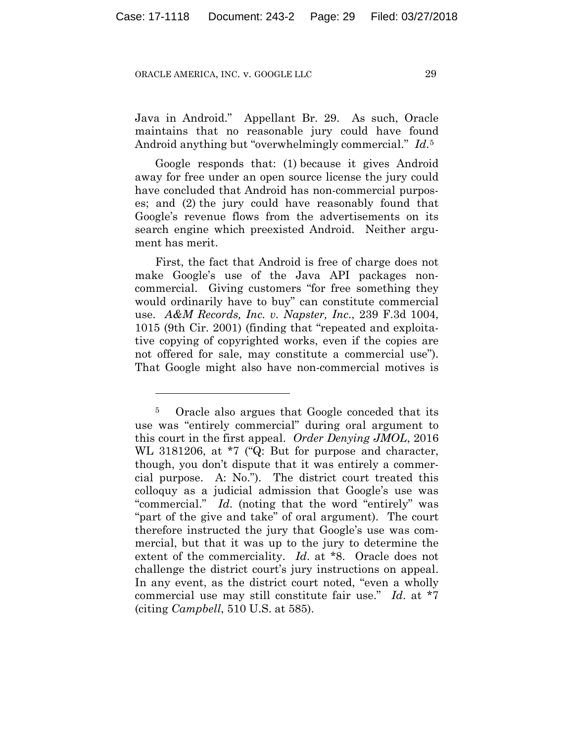<u>.</u>

Java in Android." Appellant Br. 29. As such, Oracle maintains that no reasonable jury could have found Android anything but "overwhelmingly commercial." *Id*.5

Google responds that: (1) because it gives Android away for free under an open source license the jury could have concluded that Android has non-commercial purposes; and (2) the jury could have reasonably found that Google's revenue flows from the advertisements on its search engine which preexisted Android. Neither argument has merit.

First, the fact that Android is free of charge does not make Google's use of the Java API packages noncommercial. Giving customers "for free something they would ordinarily have to buy" can constitute commercial use. *A&M Records, Inc. v. Napster, Inc*., 239 F.3d 1004, 1015 (9th Cir. 2001) (finding that "repeated and exploitative copying of copyrighted works, even if the copies are not offered for sale, may constitute a commercial use"). That Google might also have non-commercial motives is

<sup>5</sup> Oracle also argues that Google conceded that its use was "entirely commercial" during oral argument to this court in the first appeal. *Order Denying JMOL*, 2016 WL 3181206, at \*7 ("Q: But for purpose and character, though, you don't dispute that it was entirely a commercial purpose. A: No."). The district court treated this colloquy as a judicial admission that Google's use was "commercial." *Id*. (noting that the word "entirely" was "part of the give and take" of oral argument). The court therefore instructed the jury that Google's use was commercial, but that it was up to the jury to determine the extent of the commerciality. *Id*. at \*8. Oracle does not challenge the district court's jury instructions on appeal. In any event, as the district court noted, "even a wholly commercial use may still constitute fair use." *Id*. at \*7 (citing *Campbell*, 510 U.S. at 585).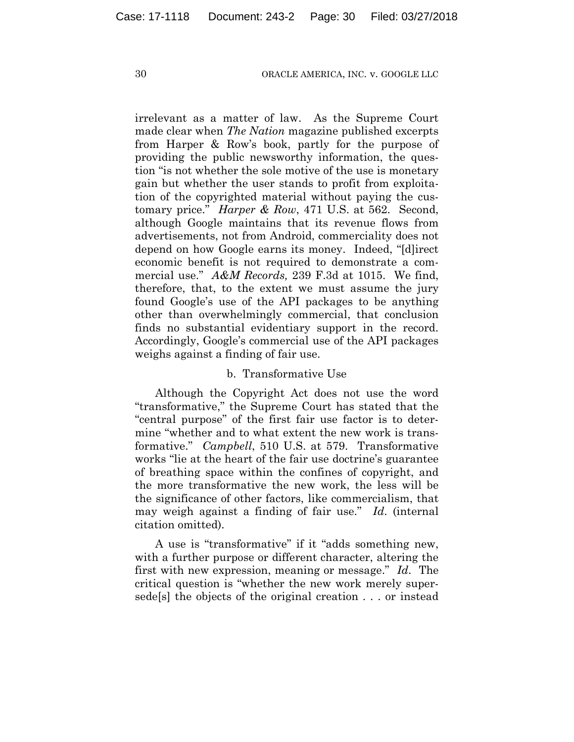irrelevant as a matter of law. As the Supreme Court made clear when *The Nation* magazine published excerpts from Harper & Row's book, partly for the purpose of providing the public newsworthy information, the question "is not whether the sole motive of the use is monetary gain but whether the user stands to profit from exploitation of the copyrighted material without paying the customary price." *Harper & Row*, 471 U.S. at 562. Second, although Google maintains that its revenue flows from advertisements, not from Android, commerciality does not depend on how Google earns its money. Indeed, "[d]irect economic benefit is not required to demonstrate a commercial use." *A&M Records,* 239 F.3d at 1015. We find, therefore, that, to the extent we must assume the jury found Google's use of the API packages to be anything other than overwhelmingly commercial, that conclusion finds no substantial evidentiary support in the record. Accordingly, Google's commercial use of the API packages weighs against a finding of fair use.

## b. Transformative Use

Although the Copyright Act does not use the word "transformative," the Supreme Court has stated that the "central purpose" of the first fair use factor is to determine "whether and to what extent the new work is transformative." *Campbell*, 510 U.S. at 579. Transformative works "lie at the heart of the fair use doctrine's guarantee of breathing space within the confines of copyright, and the more transformative the new work, the less will be the significance of other factors, like commercialism, that may weigh against a finding of fair use." *Id*. (internal citation omitted).

A use is "transformative" if it "adds something new, with a further purpose or different character, altering the first with new expression, meaning or message." *Id*. The critical question is "whether the new work merely supersede[s] the objects of the original creation . . . or instead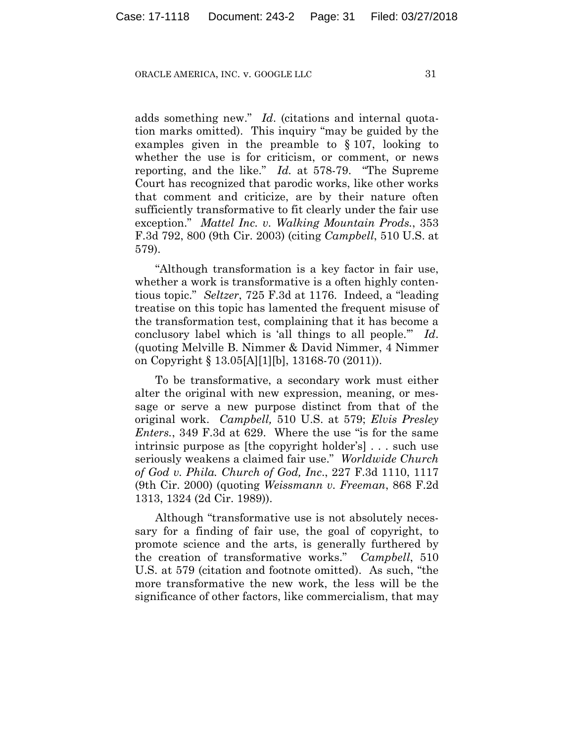adds something new." *Id*. (citations and internal quotation marks omitted). This inquiry "may be guided by the examples given in the preamble to § 107, looking to whether the use is for criticism, or comment, or news reporting, and the like." *Id.* at 578-79. "The Supreme Court has recognized that parodic works, like other works that comment and criticize, are by their nature often sufficiently transformative to fit clearly under the fair use exception." *Mattel Inc. v. Walking Mountain Prods.*, 353 F.3d 792, 800 (9th Cir. 2003) (citing *Campbell*, 510 U.S. at 579).

"Although transformation is a key factor in fair use, whether a work is transformative is a often highly contentious topic." *Seltzer*, 725 F.3d at 1176. Indeed, a "leading treatise on this topic has lamented the frequent misuse of the transformation test, complaining that it has become a conclusory label which is 'all things to all people.'" *Id*. (quoting Melville B. Nimmer & David Nimmer, 4 Nimmer on Copyright § 13.05[A][1][b], 13168-70 (2011)).

To be transformative, a secondary work must either alter the original with new expression, meaning, or message or serve a new purpose distinct from that of the original work. *Campbell,* 510 U.S. at 579; *Elvis Presley Enters.*, 349 F.3d at 629. Where the use "is for the same intrinsic purpose as [the copyright holder's] . . . such use seriously weakens a claimed fair use." *Worldwide Church of God v. Phila. Church of God, Inc*., 227 F.3d 1110, 1117 (9th Cir. 2000) (quoting *Weissmann v. Freeman*, 868 F.2d 1313, 1324 (2d Cir. 1989)).

Although "transformative use is not absolutely necessary for a finding of fair use, the goal of copyright, to promote science and the arts, is generally furthered by the creation of transformative works." *Campbell*, 510 U.S. at 579 (citation and footnote omitted). As such, "the more transformative the new work, the less will be the significance of other factors, like commercialism, that may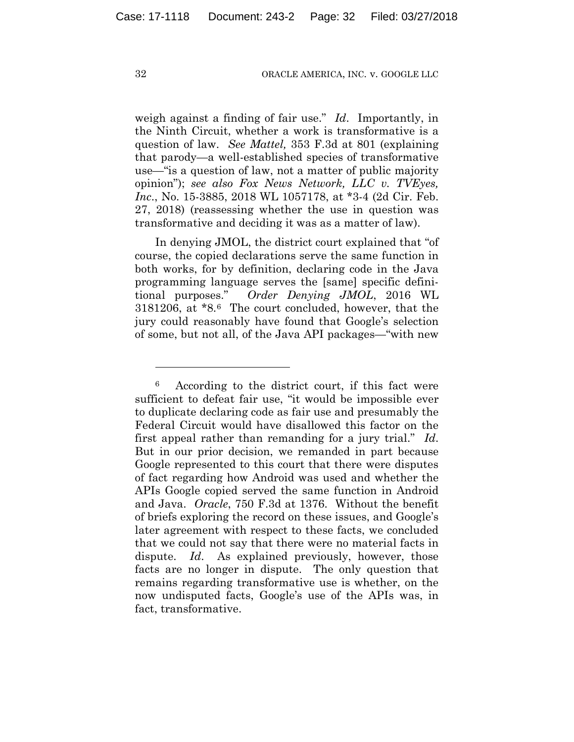weigh against a finding of fair use." *Id*. Importantly, in the Ninth Circuit, whether a work is transformative is a question of law. *See Mattel,* 353 F.3d at 801 (explaining that parody—a well-established species of transformative use—"is a question of law, not a matter of public majority opinion"); *see also Fox News Network, LLC v. TVEyes, Inc*., No. 15-3885, 2018 WL 1057178, at \*3-4 (2d Cir. Feb. 27, 2018) (reassessing whether the use in question was transformative and deciding it was as a matter of law).

In denying JMOL, the district court explained that "of course, the copied declarations serve the same function in both works, for by definition, declaring code in the Java programming language serves the [same] specific definitional purposes." *Order Denying JMOL*, 2016 WL 3181206, at \*8.6 The court concluded, however, that the jury could reasonably have found that Google's selection of some, but not all, of the Java API packages—"with new

1

<sup>6</sup> According to the district court, if this fact were sufficient to defeat fair use, "it would be impossible ever to duplicate declaring code as fair use and presumably the Federal Circuit would have disallowed this factor on the first appeal rather than remanding for a jury trial." *Id*. But in our prior decision, we remanded in part because Google represented to this court that there were disputes of fact regarding how Android was used and whether the APIs Google copied served the same function in Android and Java. *Oracle*, 750 F.3d at 1376. Without the benefit of briefs exploring the record on these issues, and Google's later agreement with respect to these facts, we concluded that we could not say that there were no material facts in dispute. *Id*. As explained previously, however, those facts are no longer in dispute. The only question that remains regarding transformative use is whether, on the now undisputed facts, Google's use of the APIs was, in fact, transformative.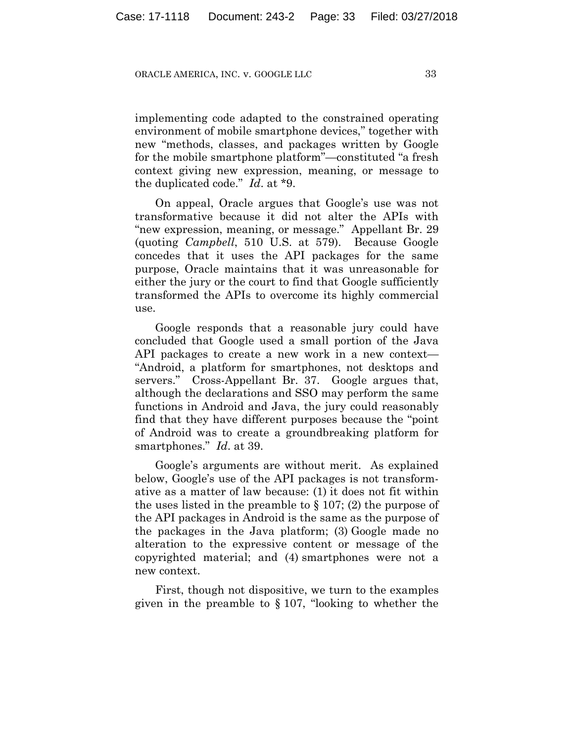implementing code adapted to the constrained operating environment of mobile smartphone devices," together with new "methods, classes, and packages written by Google for the mobile smartphone platform"—constituted "a fresh context giving new expression, meaning, or message to the duplicated code." *Id*. at \*9.

On appeal, Oracle argues that Google's use was not transformative because it did not alter the APIs with "new expression, meaning, or message." Appellant Br. 29 (quoting *Campbell*, 510 U.S. at 579). Because Google concedes that it uses the API packages for the same purpose, Oracle maintains that it was unreasonable for either the jury or the court to find that Google sufficiently transformed the APIs to overcome its highly commercial use.

Google responds that a reasonable jury could have concluded that Google used a small portion of the Java API packages to create a new work in a new context— "Android, a platform for smartphones, not desktops and servers." Cross-Appellant Br. 37. Google argues that, although the declarations and SSO may perform the same functions in Android and Java, the jury could reasonably find that they have different purposes because the "point of Android was to create a groundbreaking platform for smartphones." *Id*. at 39.

Google's arguments are without merit. As explained below, Google's use of the API packages is not transformative as a matter of law because: (1) it does not fit within the uses listed in the preamble to  $\S 107$ ; (2) the purpose of the API packages in Android is the same as the purpose of the packages in the Java platform; (3) Google made no alteration to the expressive content or message of the copyrighted material; and (4) smartphones were not a new context.

First, though not dispositive, we turn to the examples given in the preamble to § 107, "looking to whether the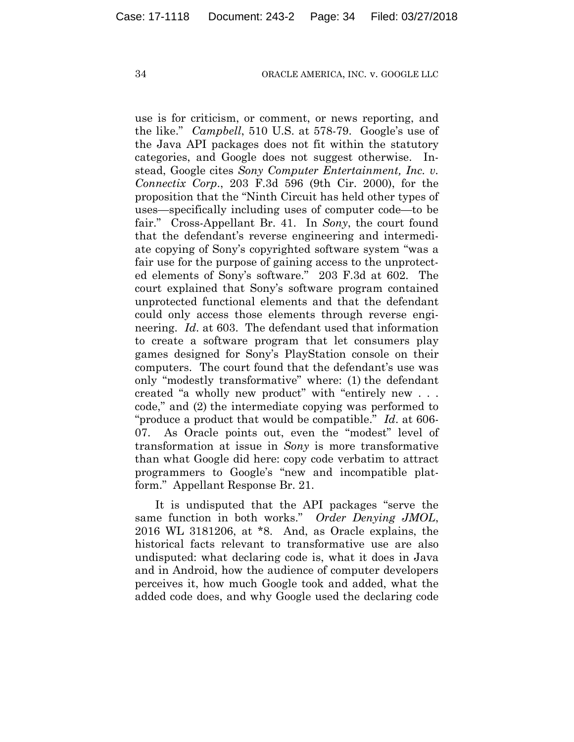use is for criticism, or comment, or news reporting, and the like." *Campbell*, 510 U.S. at 578-79. Google's use of the Java API packages does not fit within the statutory categories, and Google does not suggest otherwise. Instead, Google cites *Sony Computer Entertainment, Inc. v. Connectix Corp*., 203 F.3d 596 (9th Cir. 2000), for the proposition that the "Ninth Circuit has held other types of uses—specifically including uses of computer code—to be fair." Cross-Appellant Br. 41. In *Sony*, the court found that the defendant's reverse engineering and intermediate copying of Sony's copyrighted software system "was a fair use for the purpose of gaining access to the unprotected elements of Sony's software." 203 F.3d at 602. The court explained that Sony's software program contained unprotected functional elements and that the defendant could only access those elements through reverse engineering. *Id*. at 603. The defendant used that information to create a software program that let consumers play games designed for Sony's PlayStation console on their computers. The court found that the defendant's use was only "modestly transformative" where: (1) the defendant created "a wholly new product" with "entirely new . . . code," and (2) the intermediate copying was performed to "produce a product that would be compatible." *Id*. at 606- 07. As Oracle points out, even the "modest" level of transformation at issue in *Sony* is more transformative than what Google did here: copy code verbatim to attract programmers to Google's "new and incompatible platform." Appellant Response Br. 21.

It is undisputed that the API packages "serve the same function in both works." *Order Denying JMOL*, 2016 WL 3181206, at \*8. And, as Oracle explains, the historical facts relevant to transformative use are also undisputed: what declaring code is, what it does in Java and in Android, how the audience of computer developers perceives it, how much Google took and added, what the added code does, and why Google used the declaring code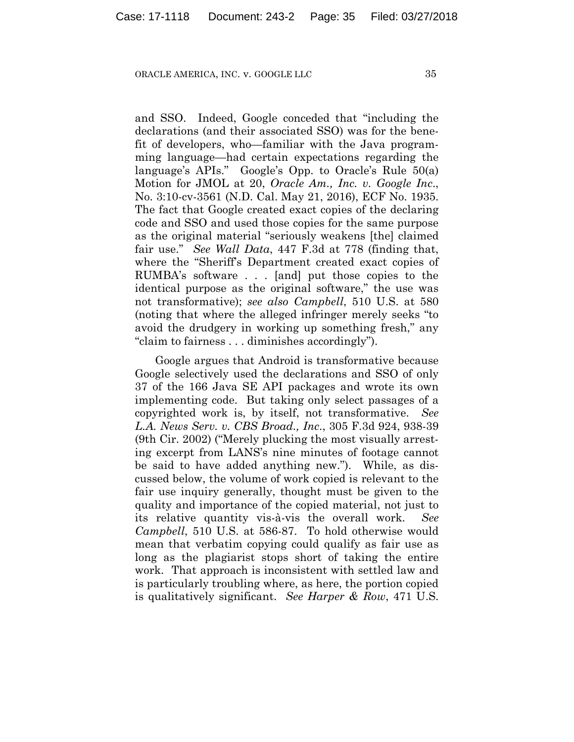and SSO. Indeed, Google conceded that "including the declarations (and their associated SSO) was for the benefit of developers, who—familiar with the Java programming language—had certain expectations regarding the language's APIs." Google's Opp. to Oracle's Rule 50(a) Motion for JMOL at 20, *Oracle Am., Inc. v. Google Inc*., No. 3:10-cv-3561 (N.D. Cal. May 21, 2016), ECF No. 1935. The fact that Google created exact copies of the declaring code and SSO and used those copies for the same purpose as the original material "seriously weakens [the] claimed fair use." *See Wall Data*, 447 F.3d at 778 (finding that, where the "Sheriff's Department created exact copies of RUMBA's software . . . [and] put those copies to the identical purpose as the original software," the use was not transformative); *see also Campbell*, 510 U.S. at 580 (noting that where the alleged infringer merely seeks "to avoid the drudgery in working up something fresh," any "claim to fairness . . . diminishes accordingly").

Google argues that Android is transformative because Google selectively used the declarations and SSO of only 37 of the 166 Java SE API packages and wrote its own implementing code. But taking only select passages of a copyrighted work is, by itself, not transformative. *See L.A. News Serv. v. CBS Broad., Inc*., 305 F.3d 924, 938-39 (9th Cir. 2002) ("Merely plucking the most visually arresting excerpt from LANS's nine minutes of footage cannot be said to have added anything new."). While, as discussed below, the volume of work copied is relevant to the fair use inquiry generally, thought must be given to the quality and importance of the copied material, not just to its relative quantity vis-à-vis the overall work. *See Campbell*, 510 U.S. at 586-87. To hold otherwise would mean that verbatim copying could qualify as fair use as long as the plagiarist stops short of taking the entire work. That approach is inconsistent with settled law and is particularly troubling where, as here, the portion copied is qualitatively significant. *See Harper & Row*, 471 U.S.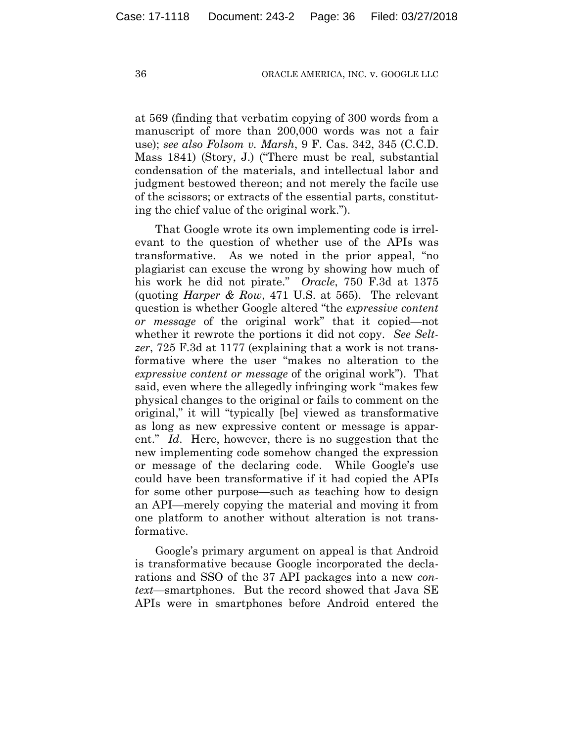at 569 (finding that verbatim copying of 300 words from a manuscript of more than 200,000 words was not a fair use); *see also Folsom v. Marsh*, 9 F. Cas. 342, 345 (C.C.D. Mass 1841) (Story, J.) ("There must be real, substantial condensation of the materials, and intellectual labor and judgment bestowed thereon; and not merely the facile use of the scissors; or extracts of the essential parts, constituting the chief value of the original work.").

That Google wrote its own implementing code is irrelevant to the question of whether use of the APIs was transformative. As we noted in the prior appeal, "no plagiarist can excuse the wrong by showing how much of his work he did not pirate." *Oracle*, 750 F.3d at 1375 (quoting *Harper & Row*, 471 U.S. at 565). The relevant question is whether Google altered "the *expressive content or message* of the original work" that it copied—not whether it rewrote the portions it did not copy. *See Seltzer*, 725 F.3d at 1177 (explaining that a work is not transformative where the user "makes no alteration to the *expressive content or message* of the original work"). That said, even where the allegedly infringing work "makes few physical changes to the original or fails to comment on the original," it will "typically [be] viewed as transformative as long as new expressive content or message is apparent." *Id*. Here, however, there is no suggestion that the new implementing code somehow changed the expression or message of the declaring code. While Google's use could have been transformative if it had copied the APIs for some other purpose—such as teaching how to design an API—merely copying the material and moving it from one platform to another without alteration is not transformative.

Google's primary argument on appeal is that Android is transformative because Google incorporated the declarations and SSO of the 37 API packages into a new *context*—smartphones. But the record showed that Java SE APIs were in smartphones before Android entered the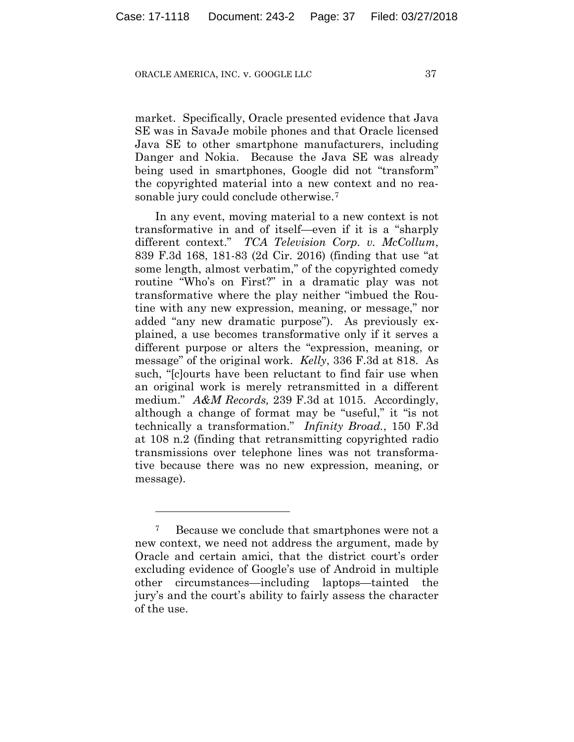market. Specifically, Oracle presented evidence that Java SE was in SavaJe mobile phones and that Oracle licensed Java SE to other smartphone manufacturers, including Danger and Nokia. Because the Java SE was already being used in smartphones, Google did not "transform" the copyrighted material into a new context and no reasonable jury could conclude otherwise.7

In any event, moving material to a new context is not transformative in and of itself—even if it is a "sharply different context." *TCA Television Corp. v. McCollum*, 839 F.3d 168, 181-83 (2d Cir. 2016) (finding that use "at some length, almost verbatim," of the copyrighted comedy routine "Who's on First?" in a dramatic play was not transformative where the play neither "imbued the Routine with any new expression, meaning, or message," nor added "any new dramatic purpose"). As previously explained, a use becomes transformative only if it serves a different purpose or alters the "expression, meaning, or message" of the original work. *Kelly*, 336 F.3d at 818. As such, "[c]ourts have been reluctant to find fair use when an original work is merely retransmitted in a different medium." *A&M Records,* 239 F.3d at 1015. Accordingly, although a change of format may be "useful," it "is not technically a transformation." *Infinity Broad.*, 150 F.3d at 108 n.2 (finding that retransmitting copyrighted radio transmissions over telephone lines was not transformative because there was no new expression, meaning, or message).

<u>.</u>

Because we conclude that smartphones were not a new context, we need not address the argument, made by Oracle and certain amici, that the district court's order excluding evidence of Google's use of Android in multiple other circumstances—including laptops—tainted the jury's and the court's ability to fairly assess the character of the use.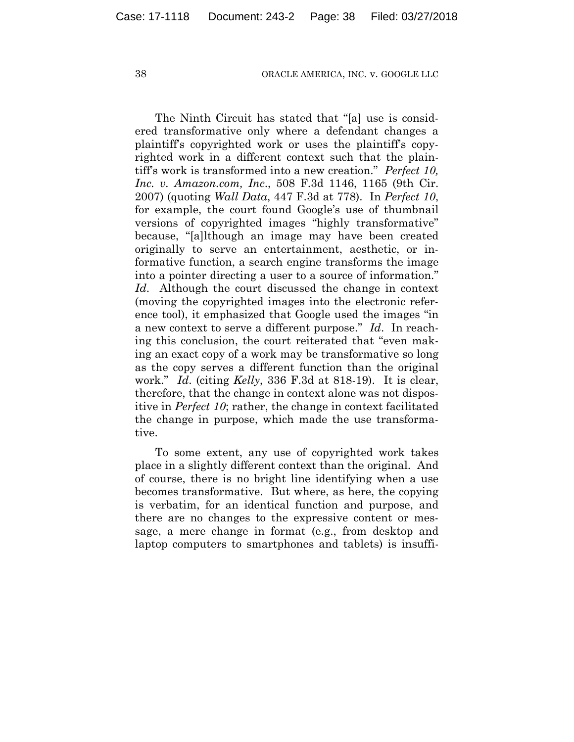The Ninth Circuit has stated that "[a] use is considered transformative only where a defendant changes a plaintiff's copyrighted work or uses the plaintiff's copyrighted work in a different context such that the plaintiff's work is transformed into a new creation." *Perfect 10, Inc. v. Amazon.com, Inc*., 508 F.3d 1146, 1165 (9th Cir. 2007) (quoting *Wall Data*, 447 F.3d at 778). In *Perfect 10*, for example, the court found Google's use of thumbnail versions of copyrighted images "highly transformative" because, "[a]lthough an image may have been created originally to serve an entertainment, aesthetic, or informative function, a search engine transforms the image into a pointer directing a user to a source of information." *Id*. Although the court discussed the change in context (moving the copyrighted images into the electronic reference tool), it emphasized that Google used the images "in a new context to serve a different purpose." *Id*. In reaching this conclusion, the court reiterated that "even making an exact copy of a work may be transformative so long as the copy serves a different function than the original work." *Id*. (citing *Kelly*, 336 F.3d at 818-19). It is clear, therefore, that the change in context alone was not dispositive in *Perfect 10*; rather, the change in context facilitated the change in purpose, which made the use transformative.

To some extent, any use of copyrighted work takes place in a slightly different context than the original. And of course, there is no bright line identifying when a use becomes transformative. But where, as here, the copying is verbatim, for an identical function and purpose, and there are no changes to the expressive content or message, a mere change in format (e.g., from desktop and laptop computers to smartphones and tablets) is insuffi-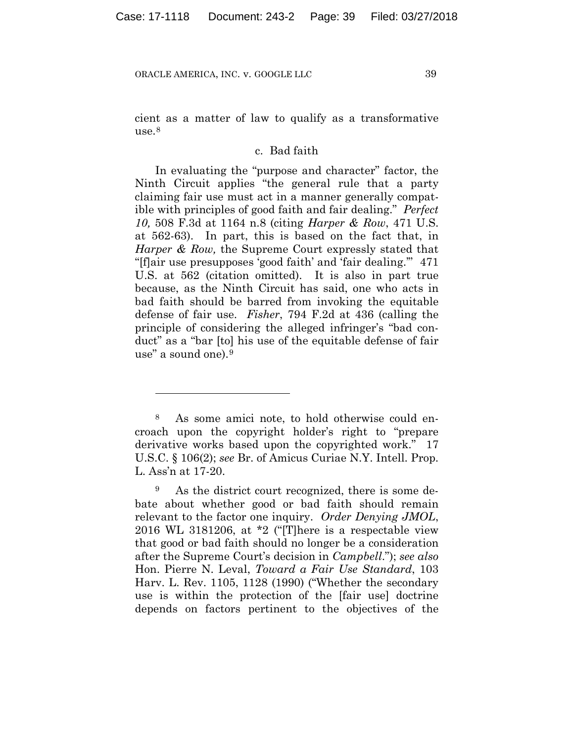<u>.</u>

cient as a matter of law to qualify as a transformative  $use.<sup>8</sup>$ 

## c. Bad faith

In evaluating the "purpose and character" factor, the Ninth Circuit applies "the general rule that a party claiming fair use must act in a manner generally compatible with principles of good faith and fair dealing." *Perfect 10,* 508 F.3d at 1164 n.8 (citing *Harper & Row*, 471 U.S. at 562-63). In part, this is based on the fact that, in *Harper & Row,* the Supreme Court expressly stated that "[f]air use presupposes 'good faith' and 'fair dealing.'" 471 U.S. at 562 (citation omitted). It is also in part true because, as the Ninth Circuit has said, one who acts in bad faith should be barred from invoking the equitable defense of fair use. *Fisher*, 794 F.2d at 436 (calling the principle of considering the alleged infringer's "bad conduct" as a "bar [to] his use of the equitable defense of fair use" a sound one).9

<sup>8</sup> As some amici note, to hold otherwise could encroach upon the copyright holder's right to "prepare derivative works based upon the copyrighted work." 17 U.S.C. § 106(2); *see* Br. of Amicus Curiae N.Y. Intell. Prop. L. Ass'n at 17-20.

<sup>9</sup> As the district court recognized, there is some debate about whether good or bad faith should remain relevant to the factor one inquiry. *Order Denying JMOL*, 2016 WL 3181206, at \*2 ("[T]here is a respectable view that good or bad faith should no longer be a consideration after the Supreme Court's decision in *Campbell*."); *see also* Hon. Pierre N. Leval, *Toward a Fair Use Standard*, 103 Harv. L. Rev. 1105, 1128 (1990) ("Whether the secondary use is within the protection of the [fair use] doctrine depends on factors pertinent to the objectives of the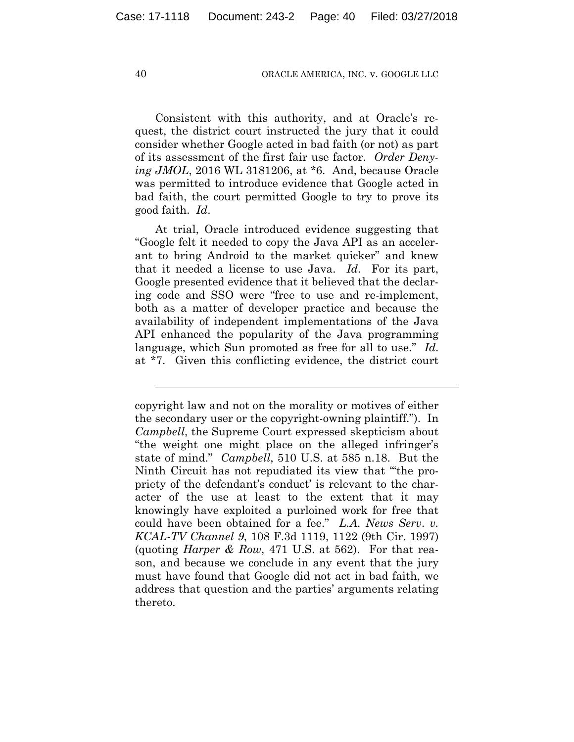Consistent with this authority, and at Oracle's request, the district court instructed the jury that it could consider whether Google acted in bad faith (or not) as part of its assessment of the first fair use factor. *Order Denying JMOL*, 2016 WL 3181206, at \*6. And, because Oracle was permitted to introduce evidence that Google acted in bad faith, the court permitted Google to try to prove its good faith. *Id*.

At trial, Oracle introduced evidence suggesting that "Google felt it needed to copy the Java API as an accelerant to bring Android to the market quicker" and knew that it needed a license to use Java. *Id*. For its part, Google presented evidence that it believed that the declaring code and SSO were "free to use and re-implement, both as a matter of developer practice and because the availability of independent implementations of the Java API enhanced the popularity of the Java programming language, which Sun promoted as free for all to use." *Id*. at \*7. Given this conflicting evidence, the district court

l

copyright law and not on the morality or motives of either the secondary user or the copyright-owning plaintiff."). In *Campbell*, the Supreme Court expressed skepticism about "the weight one might place on the alleged infringer's state of mind." *Campbell*, 510 U.S. at 585 n.18. But the Ninth Circuit has not repudiated its view that "'the propriety of the defendant's conduct' is relevant to the character of the use at least to the extent that it may knowingly have exploited a purloined work for free that could have been obtained for a fee." *L.A. News Serv*. *v. KCAL-TV Channel 9*, 108 F.3d 1119, 1122 (9th Cir. 1997) (quoting *Harper & Row*, 471 U.S. at 562). For that reason, and because we conclude in any event that the jury must have found that Google did not act in bad faith, we address that question and the parties' arguments relating thereto.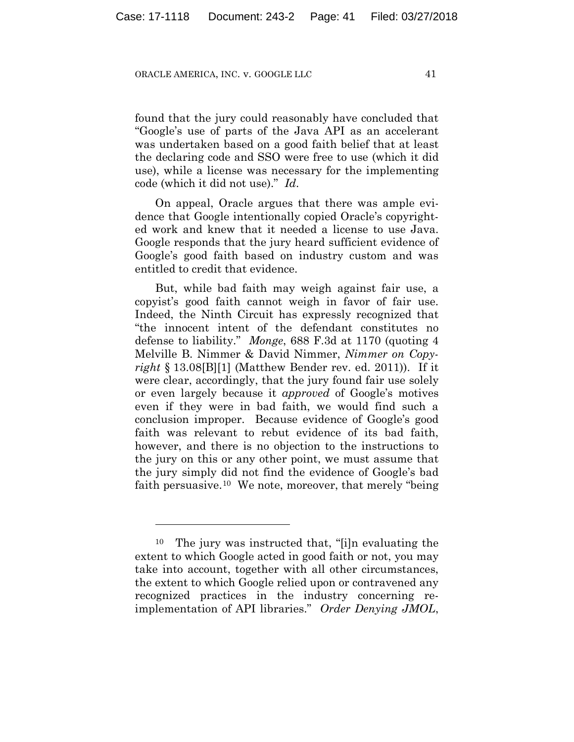found that the jury could reasonably have concluded that "Google's use of parts of the Java API as an accelerant was undertaken based on a good faith belief that at least the declaring code and SSO were free to use (which it did use), while a license was necessary for the implementing code (which it did not use)." *Id*.

On appeal, Oracle argues that there was ample evidence that Google intentionally copied Oracle's copyrighted work and knew that it needed a license to use Java. Google responds that the jury heard sufficient evidence of Google's good faith based on industry custom and was entitled to credit that evidence.

But, while bad faith may weigh against fair use, a copyist's good faith cannot weigh in favor of fair use. Indeed, the Ninth Circuit has expressly recognized that "the innocent intent of the defendant constitutes no defense to liability." *Monge*, 688 F.3d at 1170 (quoting 4 Melville B. Nimmer & David Nimmer, *Nimmer on Copyright* § 13.08[B][1] (Matthew Bender rev. ed. 2011)). If it were clear, accordingly, that the jury found fair use solely or even largely because it *approved* of Google's motives even if they were in bad faith, we would find such a conclusion improper. Because evidence of Google's good faith was relevant to rebut evidence of its bad faith, however, and there is no objection to the instructions to the jury on this or any other point, we must assume that the jury simply did not find the evidence of Google's bad faith persuasive.<sup>10</sup> We note, moreover, that merely "being"

1

<sup>10</sup> The jury was instructed that, "[i]n evaluating the extent to which Google acted in good faith or not, you may take into account, together with all other circumstances, the extent to which Google relied upon or contravened any recognized practices in the industry concerning reimplementation of API libraries." *Order Denying JMOL*,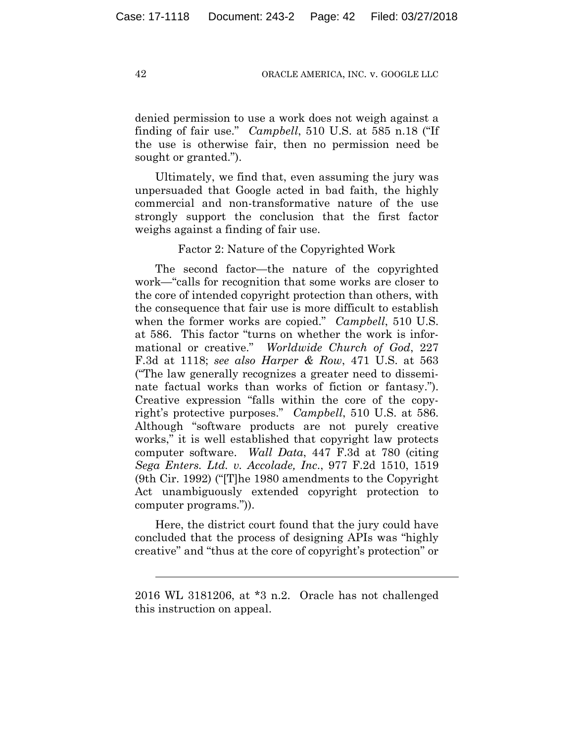denied permission to use a work does not weigh against a finding of fair use." *Campbell*, 510 U.S. at 585 n.18 ("If the use is otherwise fair, then no permission need be sought or granted.").

Ultimately, we find that, even assuming the jury was unpersuaded that Google acted in bad faith, the highly commercial and non-transformative nature of the use strongly support the conclusion that the first factor weighs against a finding of fair use.

## Factor 2: Nature of the Copyrighted Work

The second factor—the nature of the copyrighted work—"calls for recognition that some works are closer to the core of intended copyright protection than others, with the consequence that fair use is more difficult to establish when the former works are copied." *Campbell*, 510 U.S. at 586. This factor "turns on whether the work is informational or creative." *Worldwide Church of God*, 227 F.3d at 1118; *see also Harper & Row*, 471 U.S. at 563 ("The law generally recognizes a greater need to disseminate factual works than works of fiction or fantasy."). Creative expression "falls within the core of the copyright's protective purposes." *Campbell*, 510 U.S. at 586. Although "software products are not purely creative works," it is well established that copyright law protects computer software. *Wall Data*, 447 F.3d at 780 (citing *Sega Enters. Ltd. v. Accolade, Inc*., 977 F.2d 1510, 1519 (9th Cir. 1992) ("[T]he 1980 amendments to the Copyright Act unambiguously extended copyright protection to computer programs.")).

Here, the district court found that the jury could have concluded that the process of designing APIs was "highly creative" and "thus at the core of copyright's protection" or

l

<sup>2016</sup> WL 3181206, at \*3 n.2. Oracle has not challenged this instruction on appeal.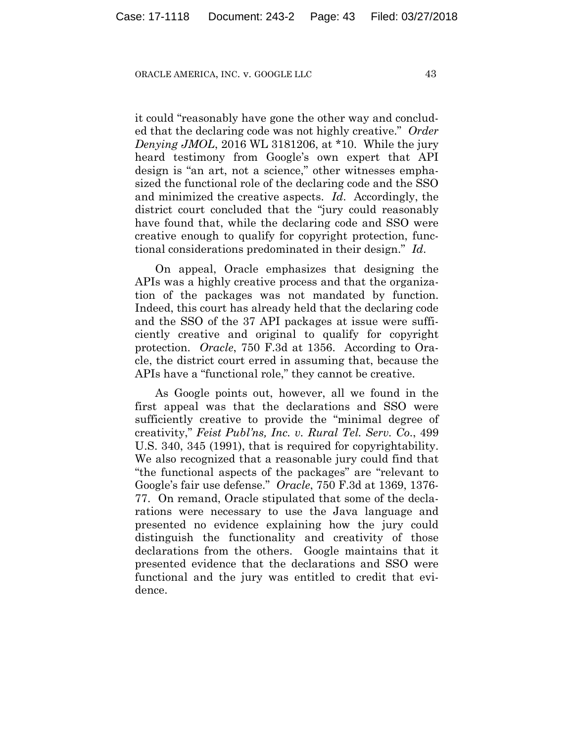it could "reasonably have gone the other way and concluded that the declaring code was not highly creative." *Order Denying JMOL*, 2016 WL 3181206, at \*10. While the jury heard testimony from Google's own expert that API design is "an art, not a science," other witnesses emphasized the functional role of the declaring code and the SSO and minimized the creative aspects. *Id*. Accordingly, the district court concluded that the "jury could reasonably have found that, while the declaring code and SSO were creative enough to qualify for copyright protection, functional considerations predominated in their design." *Id*.

On appeal, Oracle emphasizes that designing the APIs was a highly creative process and that the organization of the packages was not mandated by function. Indeed, this court has already held that the declaring code and the SSO of the 37 API packages at issue were sufficiently creative and original to qualify for copyright protection. *Oracle*, 750 F.3d at 1356. According to Oracle, the district court erred in assuming that, because the APIs have a "functional role," they cannot be creative.

As Google points out, however, all we found in the first appeal was that the declarations and SSO were sufficiently creative to provide the "minimal degree of creativity," *Feist Publ'ns, Inc. v. Rural Tel. Serv. Co*., 499 U.S. 340, 345 (1991), that is required for copyrightability. We also recognized that a reasonable jury could find that "the functional aspects of the packages" are "relevant to Google's fair use defense." *Oracle*, 750 F.3d at 1369, 1376- 77. On remand, Oracle stipulated that some of the declarations were necessary to use the Java language and presented no evidence explaining how the jury could distinguish the functionality and creativity of those declarations from the others. Google maintains that it presented evidence that the declarations and SSO were functional and the jury was entitled to credit that evidence.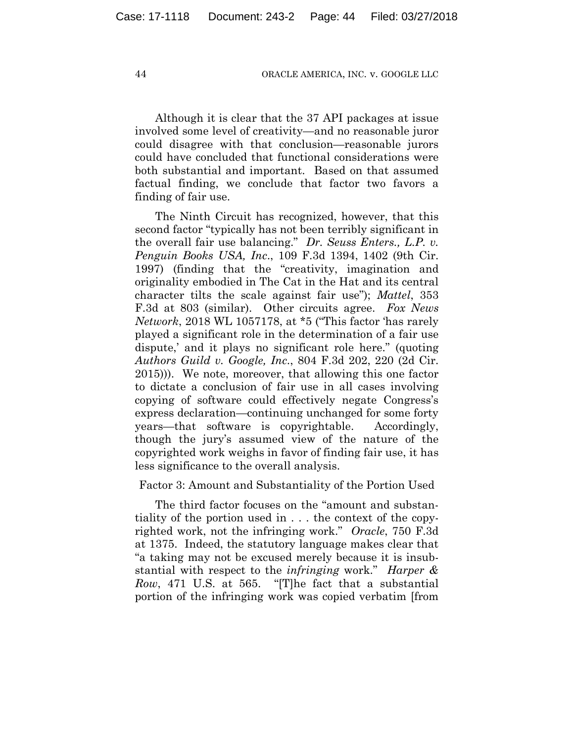Although it is clear that the 37 API packages at issue involved some level of creativity—and no reasonable juror could disagree with that conclusion—reasonable jurors could have concluded that functional considerations were both substantial and important. Based on that assumed factual finding, we conclude that factor two favors a finding of fair use.

The Ninth Circuit has recognized, however, that this second factor "typically has not been terribly significant in the overall fair use balancing." *Dr. Seuss Enters., L.P. v. Penguin Books USA, Inc*., 109 F.3d 1394, 1402 (9th Cir. 1997) (finding that the "creativity, imagination and originality embodied in The Cat in the Hat and its central character tilts the scale against fair use"); *Mattel*, 353 F.3d at 803 (similar). Other circuits agree. *Fox News Network*, 2018 WL 1057178, at \*5 ("This factor 'has rarely played a significant role in the determination of a fair use dispute,' and it plays no significant role here." (quoting *Authors Guild v. Google, Inc*., 804 F.3d 202, 220 (2d Cir. 2015))). We note, moreover, that allowing this one factor to dictate a conclusion of fair use in all cases involving copying of software could effectively negate Congress's express declaration—continuing unchanged for some forty years—that software is copyrightable. Accordingly, though the jury's assumed view of the nature of the copyrighted work weighs in favor of finding fair use, it has less significance to the overall analysis.

Factor 3: Amount and Substantiality of the Portion Used

The third factor focuses on the "amount and substantiality of the portion used in . . . the context of the copyrighted work, not the infringing work." *Oracle*, 750 F.3d at 1375. Indeed, the statutory language makes clear that "a taking may not be excused merely because it is insubstantial with respect to the *infringing* work." *Harper & Row*, 471 U.S. at 565. "[T]he fact that a substantial portion of the infringing work was copied verbatim [from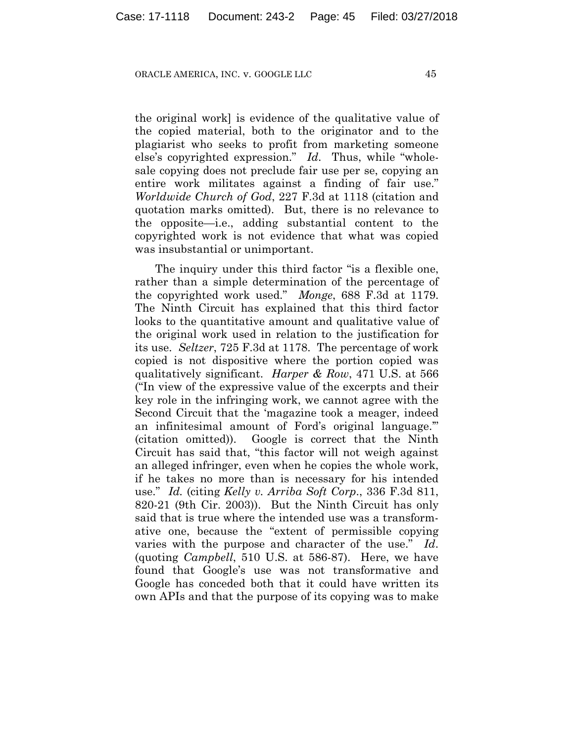the original work] is evidence of the qualitative value of the copied material, both to the originator and to the plagiarist who seeks to profit from marketing someone else's copyrighted expression." *Id*. Thus, while "wholesale copying does not preclude fair use per se, copying an entire work militates against a finding of fair use." *Worldwide Church of God*, 227 F.3d at 1118 (citation and quotation marks omitted). But, there is no relevance to the opposite—i.e., adding substantial content to the copyrighted work is not evidence that what was copied was insubstantial or unimportant.

The inquiry under this third factor "is a flexible one, rather than a simple determination of the percentage of the copyrighted work used." *Monge*, 688 F.3d at 1179. The Ninth Circuit has explained that this third factor looks to the quantitative amount and qualitative value of the original work used in relation to the justification for its use. *Seltzer*, 725 F.3d at 1178. The percentage of work copied is not dispositive where the portion copied was qualitatively significant. *Harper & Row*, 471 U.S. at 566 ("In view of the expressive value of the excerpts and their key role in the infringing work, we cannot agree with the Second Circuit that the 'magazine took a meager, indeed an infinitesimal amount of Ford's original language.'" (citation omitted)). Google is correct that the Ninth Circuit has said that, "this factor will not weigh against an alleged infringer, even when he copies the whole work, if he takes no more than is necessary for his intended use." *Id.* (citing *Kelly v. Arriba Soft Corp*., 336 F.3d 811, 820-21 (9th Cir. 2003)). But the Ninth Circuit has only said that is true where the intended use was a transformative one, because the "extent of permissible copying varies with the purpose and character of the use." *Id*. (quoting *Campbell*, 510 U.S. at 586-87). Here, we have found that Google's use was not transformative and Google has conceded both that it could have written its own APIs and that the purpose of its copying was to make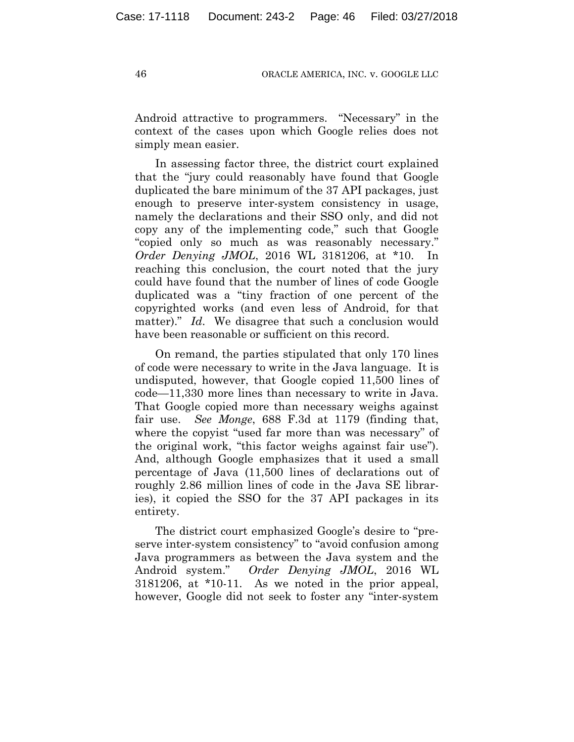Android attractive to programmers. "Necessary" in the context of the cases upon which Google relies does not simply mean easier.

In assessing factor three, the district court explained that the "jury could reasonably have found that Google duplicated the bare minimum of the 37 API packages, just enough to preserve inter-system consistency in usage, namely the declarations and their SSO only, and did not copy any of the implementing code," such that Google "copied only so much as was reasonably necessary." *Order Denying JMOL*, 2016 WL 3181206, at \*10. In reaching this conclusion, the court noted that the jury could have found that the number of lines of code Google duplicated was a "tiny fraction of one percent of the copyrighted works (and even less of Android, for that matter)." *Id*. We disagree that such a conclusion would have been reasonable or sufficient on this record.

On remand, the parties stipulated that only 170 lines of code were necessary to write in the Java language. It is undisputed, however, that Google copied 11,500 lines of code—11,330 more lines than necessary to write in Java. That Google copied more than necessary weighs against fair use. *See Monge*, 688 F.3d at 1179 (finding that, where the copyist "used far more than was necessary" of the original work, "this factor weighs against fair use"). And, although Google emphasizes that it used a small percentage of Java (11,500 lines of declarations out of roughly 2.86 million lines of code in the Java SE libraries), it copied the SSO for the 37 API packages in its entirety.

The district court emphasized Google's desire to "preserve inter-system consistency" to "avoid confusion among Java programmers as between the Java system and the Android system." *Order Denying JMOL*, 2016 WL 3181206, at \*10-11. As we noted in the prior appeal, however, Google did not seek to foster any "inter-system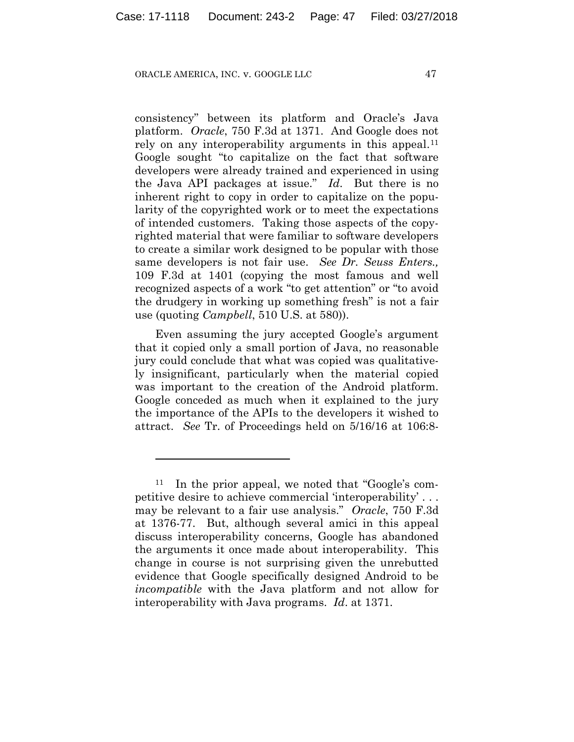1

consistency" between its platform and Oracle's Java platform. *Oracle*, 750 F.3d at 1371. And Google does not rely on any interoperability arguments in this appeal.<sup>11</sup> Google sought "to capitalize on the fact that software developers were already trained and experienced in using the Java API packages at issue." *Id*. But there is no inherent right to copy in order to capitalize on the popularity of the copyrighted work or to meet the expectations of intended customers. Taking those aspects of the copyrighted material that were familiar to software developers to create a similar work designed to be popular with those same developers is not fair use. *See Dr. Seuss Enters.,* 109 F.3d at 1401 (copying the most famous and well recognized aspects of a work "to get attention" or "to avoid the drudgery in working up something fresh" is not a fair use (quoting *Campbell*, 510 U.S. at 580)).

Even assuming the jury accepted Google's argument that it copied only a small portion of Java, no reasonable jury could conclude that what was copied was qualitatively insignificant, particularly when the material copied was important to the creation of the Android platform. Google conceded as much when it explained to the jury the importance of the APIs to the developers it wished to attract. *See* Tr. of Proceedings held on 5/16/16 at 106:8-

<sup>11</sup> In the prior appeal, we noted that "Google's competitive desire to achieve commercial 'interoperability' . . . may be relevant to a fair use analysis." *Oracle*, 750 F.3d at 1376-77. But, although several amici in this appeal discuss interoperability concerns, Google has abandoned the arguments it once made about interoperability. This change in course is not surprising given the unrebutted evidence that Google specifically designed Android to be *incompatible* with the Java platform and not allow for interoperability with Java programs. *Id*. at 1371.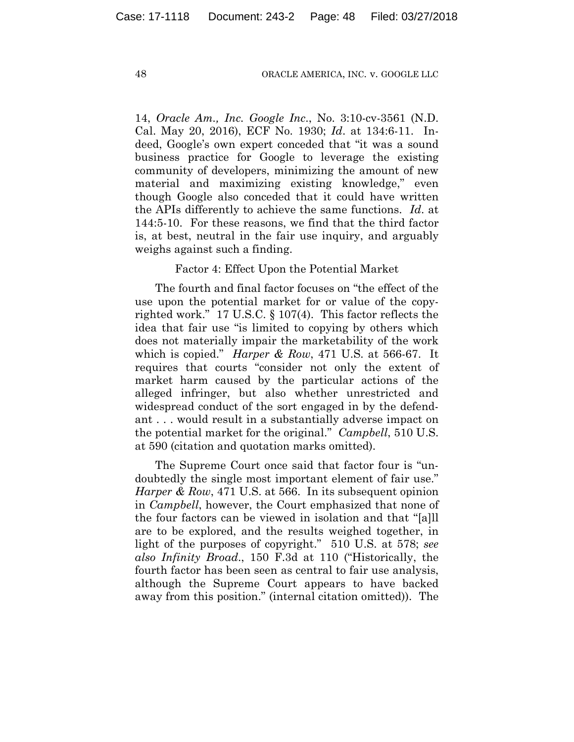14, *Oracle Am., Inc. Google Inc*., No. 3:10-cv-3561 (N.D. Cal. May 20, 2016), ECF No. 1930; *Id*. at 134:6-11. Indeed, Google's own expert conceded that "it was a sound business practice for Google to leverage the existing community of developers, minimizing the amount of new material and maximizing existing knowledge," even though Google also conceded that it could have written the APIs differently to achieve the same functions. *Id*. at 144:5-10. For these reasons, we find that the third factor is, at best, neutral in the fair use inquiry, and arguably weighs against such a finding.

Factor 4: Effect Upon the Potential Market

The fourth and final factor focuses on "the effect of the use upon the potential market for or value of the copyrighted work." 17 U.S.C. § 107(4). This factor reflects the idea that fair use "is limited to copying by others which does not materially impair the marketability of the work which is copied." *Harper & Row*, 471 U.S. at 566-67. It requires that courts "consider not only the extent of market harm caused by the particular actions of the alleged infringer, but also whether unrestricted and widespread conduct of the sort engaged in by the defendant . . . would result in a substantially adverse impact on the potential market for the original." *Campbell*, 510 U.S. at 590 (citation and quotation marks omitted).

The Supreme Court once said that factor four is "undoubtedly the single most important element of fair use." *Harper & Row*, 471 U.S. at 566. In its subsequent opinion in *Campbell*, however, the Court emphasized that none of the four factors can be viewed in isolation and that "[a]ll are to be explored, and the results weighed together, in light of the purposes of copyright." 510 U.S. at 578; *see also Infinity Broad*., 150 F.3d at 110 ("Historically, the fourth factor has been seen as central to fair use analysis, although the Supreme Court appears to have backed away from this position." (internal citation omitted)). The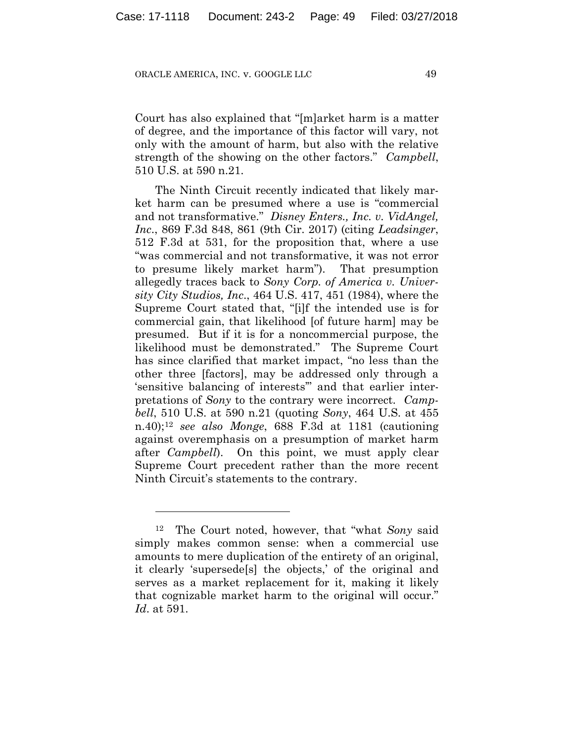Court has also explained that "[m]arket harm is a matter of degree, and the importance of this factor will vary, not only with the amount of harm, but also with the relative strength of the showing on the other factors." *Campbell*, 510 U.S. at 590 n.21.

The Ninth Circuit recently indicated that likely market harm can be presumed where a use is "commercial and not transformative." *Disney Enters., Inc. v. VidAngel, Inc*., 869 F.3d 848, 861 (9th Cir. 2017) (citing *Leadsinger*, 512 F.3d at 531, for the proposition that, where a use "was commercial and not transformative, it was not error to presume likely market harm"). That presumption allegedly traces back to *Sony Corp. of America v. University City Studios, Inc*., 464 U.S. 417, 451 (1984), where the Supreme Court stated that, "[i]f the intended use is for commercial gain, that likelihood [of future harm] may be presumed. But if it is for a noncommercial purpose, the likelihood must be demonstrated." The Supreme Court has since clarified that market impact, "no less than the other three [factors], may be addressed only through a 'sensitive balancing of interests'" and that earlier interpretations of *Sony* to the contrary were incorrect. *Campbell*, 510 U.S. at 590 n.21 (quoting *Sony*, 464 U.S. at 455 n.40);12 *see also Monge*, 688 F.3d at 1181 (cautioning against overemphasis on a presumption of market harm after *Campbell*). On this point, we must apply clear Supreme Court precedent rather than the more recent Ninth Circuit's statements to the contrary.

<u>.</u>

<sup>12</sup> The Court noted, however, that "what *Sony* said simply makes common sense: when a commercial use amounts to mere duplication of the entirety of an original, it clearly 'supersede[s] the objects,' of the original and serves as a market replacement for it, making it likely that cognizable market harm to the original will occur." *Id*. at 591.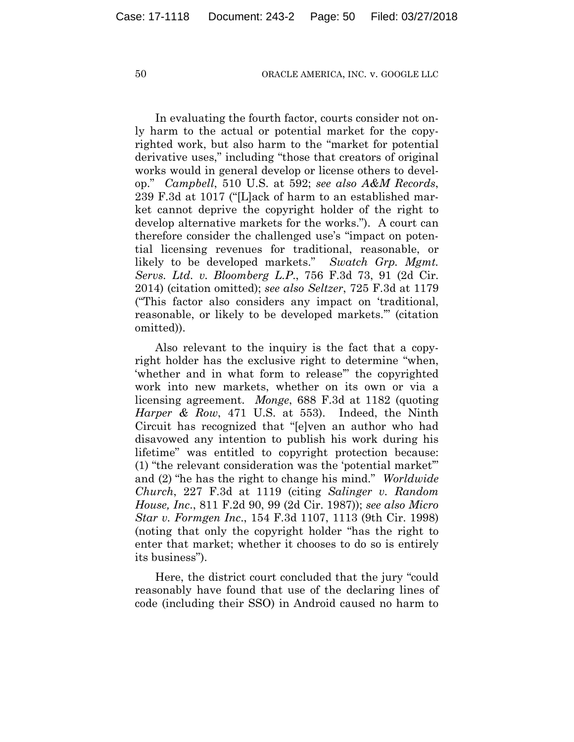In evaluating the fourth factor, courts consider not only harm to the actual or potential market for the copyrighted work, but also harm to the "market for potential derivative uses," including "those that creators of original works would in general develop or license others to develop." *Campbell*, 510 U.S. at 592; *see also A&M Records*, 239 F.3d at 1017 ("[L]ack of harm to an established market cannot deprive the copyright holder of the right to develop alternative markets for the works."). A court can therefore consider the challenged use's "impact on potential licensing revenues for traditional, reasonable, or likely to be developed markets." *Swatch Grp. Mgmt. Servs. Ltd. v. Bloomberg L.P*., 756 F.3d 73, 91 (2d Cir. 2014) (citation omitted); *see also Seltzer*, 725 F.3d at 1179 ("This factor also considers any impact on 'traditional, reasonable, or likely to be developed markets.'" (citation omitted)).

Also relevant to the inquiry is the fact that a copyright holder has the exclusive right to determine "when, 'whether and in what form to release'" the copyrighted work into new markets, whether on its own or via a licensing agreement. *Monge*, 688 F.3d at 1182 (quoting *Harper & Row*, 471 U.S. at 553). Indeed, the Ninth Circuit has recognized that "[e]ven an author who had disavowed any intention to publish his work during his lifetime" was entitled to copyright protection because: (1) "the relevant consideration was the 'potential market'" and (2) "he has the right to change his mind." *Worldwide Church*, 227 F.3d at 1119 (citing *Salinger v. Random House, Inc*., 811 F.2d 90, 99 (2d Cir. 1987)); *see also Micro Star v. Formgen Inc*., 154 F.3d 1107, 1113 (9th Cir. 1998) (noting that only the copyright holder "has the right to enter that market; whether it chooses to do so is entirely its business").

Here, the district court concluded that the jury "could reasonably have found that use of the declaring lines of code (including their SSO) in Android caused no harm to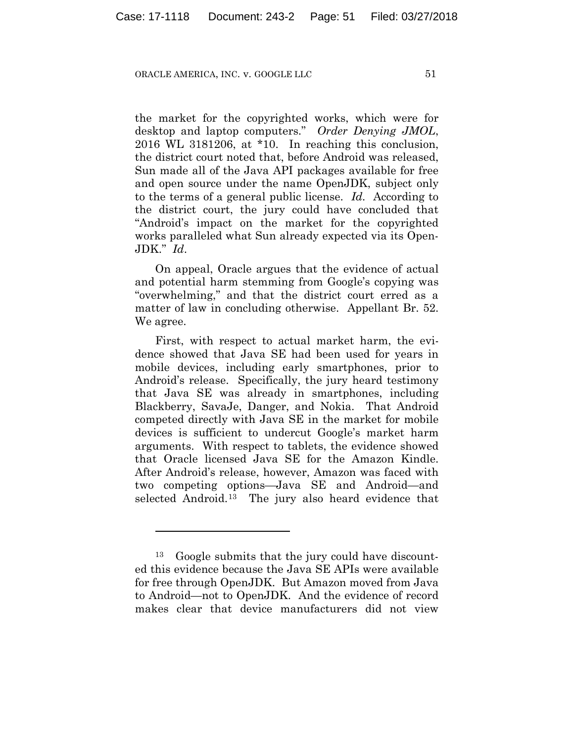the market for the copyrighted works, which were for desktop and laptop computers." *Order Denying JMOL*, 2016 WL 3181206, at \*10. In reaching this conclusion, the district court noted that, before Android was released, Sun made all of the Java API packages available for free and open source under the name OpenJDK, subject only to the terms of a general public license. *Id.* According to the district court, the jury could have concluded that "Android's impact on the market for the copyrighted works paralleled what Sun already expected via its Open-JDK." *Id*.

On appeal, Oracle argues that the evidence of actual and potential harm stemming from Google's copying was "overwhelming," and that the district court erred as a matter of law in concluding otherwise. Appellant Br. 52. We agree.

First, with respect to actual market harm, the evidence showed that Java SE had been used for years in mobile devices, including early smartphones, prior to Android's release. Specifically, the jury heard testimony that Java SE was already in smartphones, including Blackberry, SavaJe, Danger, and Nokia. That Android competed directly with Java SE in the market for mobile devices is sufficient to undercut Google's market harm arguments. With respect to tablets, the evidence showed that Oracle licensed Java SE for the Amazon Kindle. After Android's release, however, Amazon was faced with two competing options—Java SE and Android—and selected Android.13 The jury also heard evidence that

<u>.</u>

<sup>13</sup> Google submits that the jury could have discounted this evidence because the Java SE APIs were available for free through OpenJDK. But Amazon moved from Java to Android—not to OpenJDK. And the evidence of record makes clear that device manufacturers did not view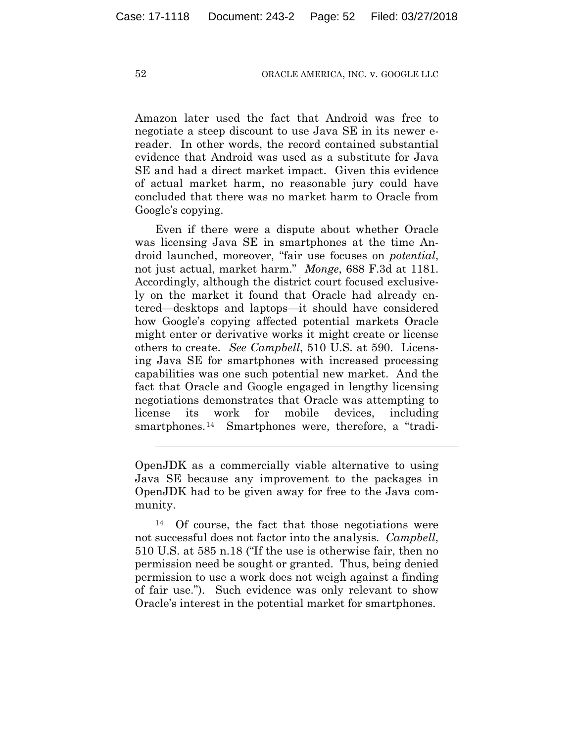Amazon later used the fact that Android was free to negotiate a steep discount to use Java SE in its newer ereader. In other words, the record contained substantial evidence that Android was used as a substitute for Java SE and had a direct market impact.Given this evidence of actual market harm, no reasonable jury could have concluded that there was no market harm to Oracle from Google's copying.

Even if there were a dispute about whether Oracle was licensing Java SE in smartphones at the time Android launched, moreover, "fair use focuses on *potential*, not just actual, market harm." *Monge*, 688 F.3d at 1181. Accordingly, although the district court focused exclusively on the market it found that Oracle had already entered—desktops and laptops—it should have considered how Google's copying affected potential markets Oracle might enter or derivative works it might create or license others to create. *See Campbell*, 510 U.S. at 590. Licensing Java SE for smartphones with increased processing capabilities was one such potential new market. And the fact that Oracle and Google engaged in lengthy licensing negotiations demonstrates that Oracle was attempting to license its work for mobile devices, including smartphones.<sup>14</sup> Smartphones were, therefore, a "tradi-

OpenJDK as a commercially viable alternative to using Java SE because any improvement to the packages in OpenJDK had to be given away for free to the Java community.

14 Of course, the fact that those negotiations were not successful does not factor into the analysis. *Campbell*, 510 U.S. at 585 n.18 ("If the use is otherwise fair, then no permission need be sought or granted. Thus, being denied permission to use a work does not weigh against a finding of fair use."). Such evidence was only relevant to show Oracle's interest in the potential market for smartphones.

 $\overline{a}$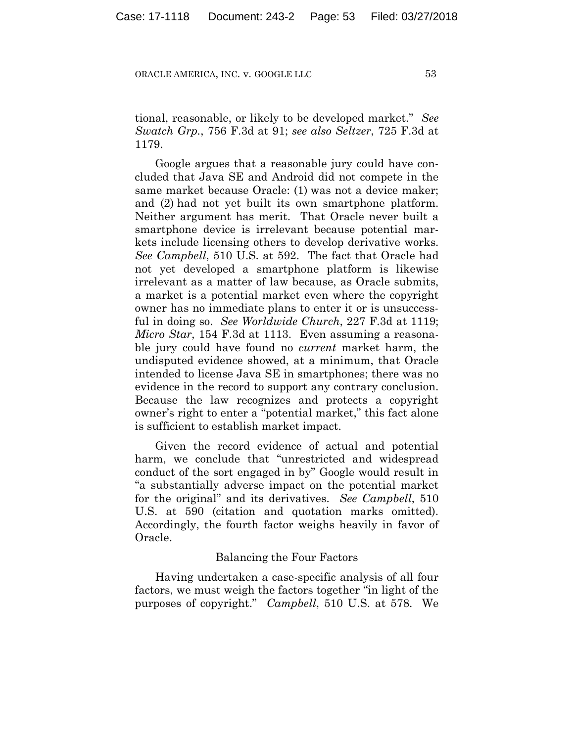tional, reasonable, or likely to be developed market." *See Swatch Grp.*, 756 F.3d at 91; *see also Seltzer*, 725 F.3d at 1179.

Google argues that a reasonable jury could have concluded that Java SE and Android did not compete in the same market because Oracle: (1) was not a device maker; and (2) had not yet built its own smartphone platform. Neither argument has merit. That Oracle never built a smartphone device is irrelevant because potential markets include licensing others to develop derivative works. *See Campbell*, 510 U.S. at 592. The fact that Oracle had not yet developed a smartphone platform is likewise irrelevant as a matter of law because, as Oracle submits, a market is a potential market even where the copyright owner has no immediate plans to enter it or is unsuccessful in doing so. *See Worldwide Church*, 227 F.3d at 1119; *Micro Star*, 154 F.3d at 1113. Even assuming a reasonable jury could have found no *current* market harm, the undisputed evidence showed, at a minimum, that Oracle intended to license Java SE in smartphones; there was no evidence in the record to support any contrary conclusion. Because the law recognizes and protects a copyright owner's right to enter a "potential market," this fact alone is sufficient to establish market impact.

Given the record evidence of actual and potential harm, we conclude that "unrestricted and widespread conduct of the sort engaged in by" Google would result in "a substantially adverse impact on the potential market for the original" and its derivatives. *See Campbell*, 510 U.S. at 590 (citation and quotation marks omitted). Accordingly, the fourth factor weighs heavily in favor of Oracle.

## Balancing the Four Factors

Having undertaken a case-specific analysis of all four factors, we must weigh the factors together "in light of the purposes of copyright." *Campbell*, 510 U.S. at 578. We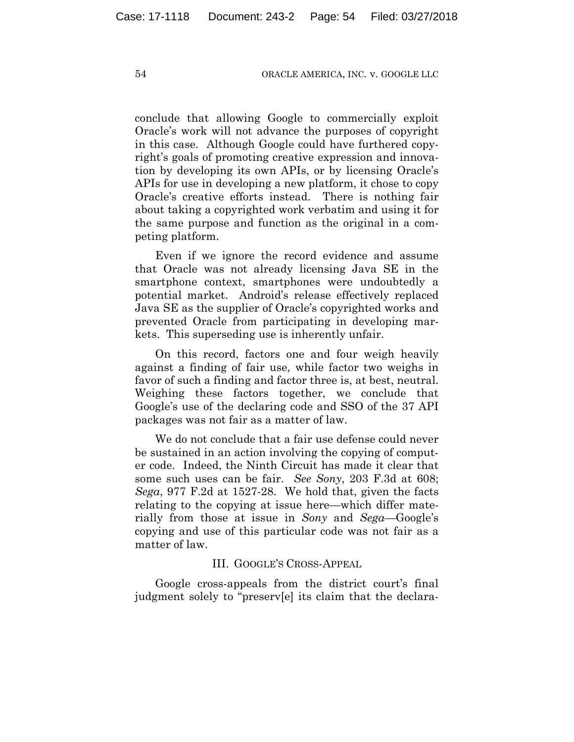conclude that allowing Google to commercially exploit Oracle's work will not advance the purposes of copyright in this case. Although Google could have furthered copyright's goals of promoting creative expression and innovation by developing its own APIs, or by licensing Oracle's APIs for use in developing a new platform, it chose to copy Oracle's creative efforts instead. There is nothing fair about taking a copyrighted work verbatim and using it for the same purpose and function as the original in a competing platform.

Even if we ignore the record evidence and assume that Oracle was not already licensing Java SE in the smartphone context, smartphones were undoubtedly a potential market. Android's release effectively replaced Java SE as the supplier of Oracle's copyrighted works and prevented Oracle from participating in developing markets. This superseding use is inherently unfair.

On this record, factors one and four weigh heavily against a finding of fair use, while factor two weighs in favor of such a finding and factor three is, at best, neutral. Weighing these factors together, we conclude that Google's use of the declaring code and SSO of the 37 API packages was not fair as a matter of law.

We do not conclude that a fair use defense could never be sustained in an action involving the copying of computer code. Indeed, the Ninth Circuit has made it clear that some such uses can be fair. *See Sony*, 203 F.3d at 608; *Sega*, 977 F.2d at 1527-28. We hold that, given the facts relating to the copying at issue here—which differ materially from those at issue in *Sony* and *Sega*—Google's copying and use of this particular code was not fair as a matter of law.

## III. GOOGLE'S CROSS-APPEAL

Google cross-appeals from the district court's final judgment solely to "preserv[e] its claim that the declara-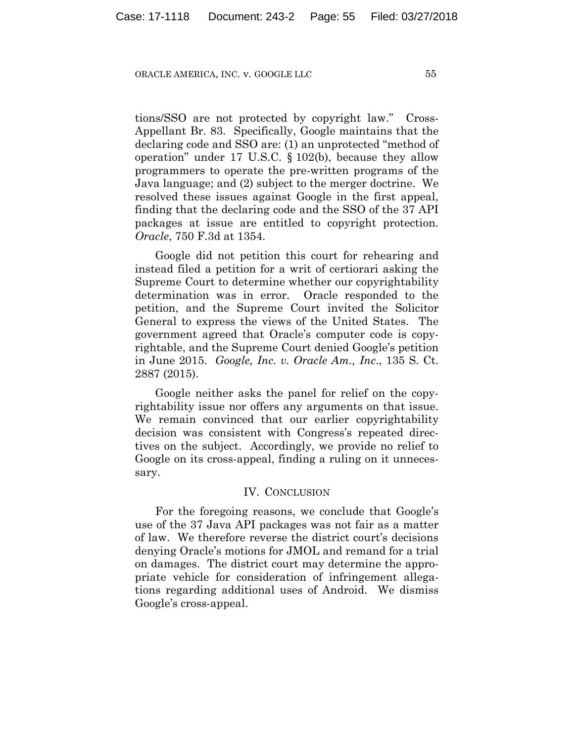tions/SSO are not protected by copyright law." Cross-Appellant Br. 83. Specifically, Google maintains that the declaring code and SSO are: (1) an unprotected "method of operation" under 17 U.S.C. § 102(b), because they allow programmers to operate the pre-written programs of the Java language; and (2) subject to the merger doctrine. We resolved these issues against Google in the first appeal, finding that the declaring code and the SSO of the 37 API packages at issue are entitled to copyright protection. *Oracle*, 750 F.3d at 1354.

Google did not petition this court for rehearing and instead filed a petition for a writ of certiorari asking the Supreme Court to determine whether our copyrightability determination was in error. Oracle responded to the petition, and the Supreme Court invited the Solicitor General to express the views of the United States. The government agreed that Oracle's computer code is copyrightable, and the Supreme Court denied Google's petition in June 2015. *Google, Inc. v. Oracle Am., Inc*., 135 S. Ct. 2887 (2015).

Google neither asks the panel for relief on the copyrightability issue nor offers any arguments on that issue. We remain convinced that our earlier copyrightability decision was consistent with Congress's repeated directives on the subject. Accordingly, we provide no relief to Google on its cross-appeal, finding a ruling on it unnecessary.

## IV. CONCLUSION

For the foregoing reasons, we conclude that Google's use of the 37 Java API packages was not fair as a matter of law. We therefore reverse the district court's decisions denying Oracle's motions for JMOL and remand for a trial on damages. The district court may determine the appropriate vehicle for consideration of infringement allegations regarding additional uses of Android. We dismiss Google's cross-appeal.